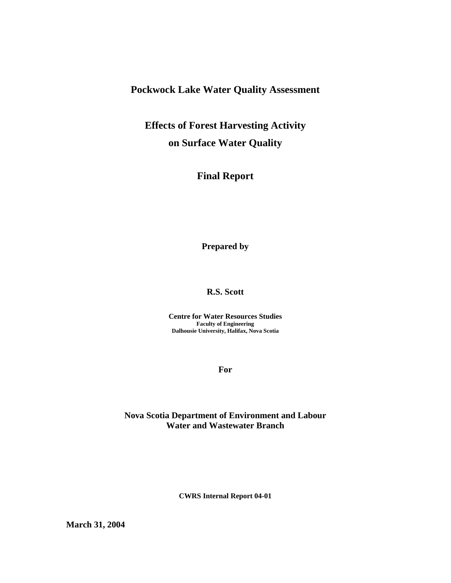## **Pockwock Lake Water Quality Assessment**

# **Effects of Forest Harvesting Activity on Surface Water Quality**

# **Final Report**

**Prepared by** 

### **R.S. Scott**

**Centre for Water Resources Studies Faculty of Engineering Dalhousie University, Halifax, Nova Scotia** 

**For** 

### **Nova Scotia Department of Environment and Labour Water and Wastewater Branch**

**CWRS Internal Report 04-01** 

**March 31, 2004**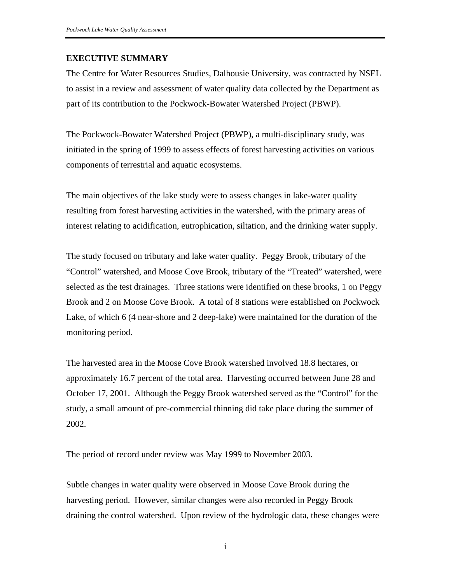### **EXECUTIVE SUMMARY**

The Centre for Water Resources Studies, Dalhousie University, was contracted by NSEL to assist in a review and assessment of water quality data collected by the Department as part of its contribution to the Pockwock-Bowater Watershed Project (PBWP).

The Pockwock-Bowater Watershed Project (PBWP), a multi-disciplinary study, was initiated in the spring of 1999 to assess effects of forest harvesting activities on various components of terrestrial and aquatic ecosystems.

The main objectives of the lake study were to assess changes in lake-water quality resulting from forest harvesting activities in the watershed, with the primary areas of interest relating to acidification, eutrophication, siltation, and the drinking water supply.

The study focused on tributary and lake water quality. Peggy Brook, tributary of the "Control" watershed, and Moose Cove Brook, tributary of the "Treated" watershed, were selected as the test drainages. Three stations were identified on these brooks, 1 on Peggy Brook and 2 on Moose Cove Brook. A total of 8 stations were established on Pockwock Lake, of which 6 (4 near-shore and 2 deep-lake) were maintained for the duration of the monitoring period.

The harvested area in the Moose Cove Brook watershed involved 18.8 hectares, or approximately 16.7 percent of the total area. Harvesting occurred between June 28 and October 17, 2001. Although the Peggy Brook watershed served as the "Control" for the study, a small amount of pre-commercial thinning did take place during the summer of 2002.

The period of record under review was May 1999 to November 2003.

Subtle changes in water quality were observed in Moose Cove Brook during the harvesting period. However, similar changes were also recorded in Peggy Brook draining the control watershed. Upon review of the hydrologic data, these changes were

i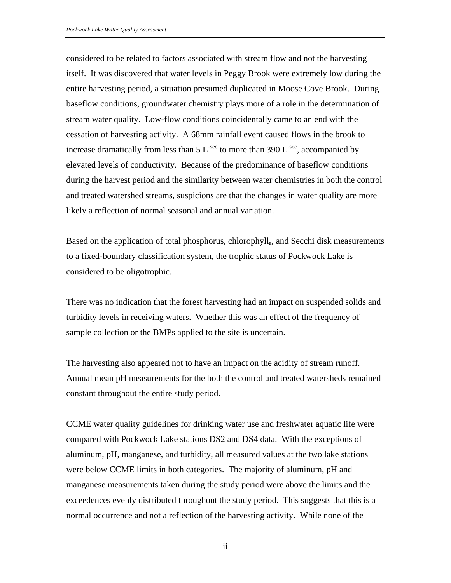considered to be related to factors associated with stream flow and not the harvesting itself. It was discovered that water levels in Peggy Brook were extremely low during the entire harvesting period, a situation presumed duplicated in Moose Cove Brook. During baseflow conditions, groundwater chemistry plays more of a role in the determination of stream water quality. Low-flow conditions coincidentally came to an end with the cessation of harvesting activity. A 68mm rainfall event caused flows in the brook to increase dramatically from less than  $5 L<sup>-sec</sup>$  to more than 390 L<sup>-sec</sup>, accompanied by elevated levels of conductivity. Because of the predominance of baseflow conditions during the harvest period and the similarity between water chemistries in both the control and treated watershed streams, suspicions are that the changes in water quality are more likely a reflection of normal seasonal and annual variation.

Based on the application of total phosphorus, chlorophylla, and Secchi disk measurements to a fixed-boundary classification system, the trophic status of Pockwock Lake is considered to be oligotrophic.

There was no indication that the forest harvesting had an impact on suspended solids and turbidity levels in receiving waters. Whether this was an effect of the frequency of sample collection or the BMPs applied to the site is uncertain.

The harvesting also appeared not to have an impact on the acidity of stream runoff. Annual mean pH measurements for the both the control and treated watersheds remained constant throughout the entire study period.

CCME water quality guidelines for drinking water use and freshwater aquatic life were compared with Pockwock Lake stations DS2 and DS4 data. With the exceptions of aluminum, pH, manganese, and turbidity, all measured values at the two lake stations were below CCME limits in both categories. The majority of aluminum, pH and manganese measurements taken during the study period were above the limits and the exceedences evenly distributed throughout the study period. This suggests that this is a normal occurrence and not a reflection of the harvesting activity. While none of the

ii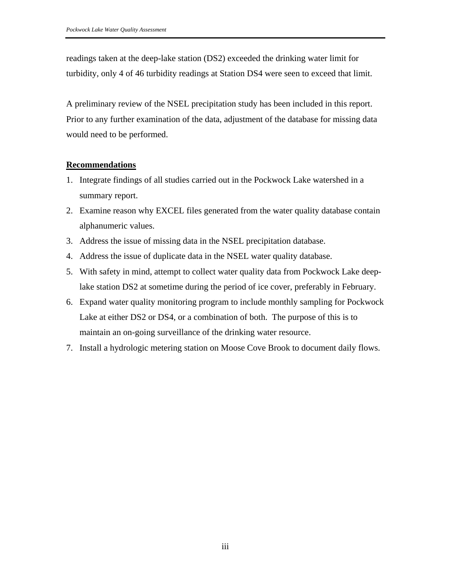readings taken at the deep-lake station (DS2) exceeded the drinking water limit for turbidity, only 4 of 46 turbidity readings at Station DS4 were seen to exceed that limit.

A preliminary review of the NSEL precipitation study has been included in this report. Prior to any further examination of the data, adjustment of the database for missing data would need to be performed.

### **Recommendations**

- 1. Integrate findings of all studies carried out in the Pockwock Lake watershed in a summary report.
- 2. Examine reason why EXCEL files generated from the water quality database contain alphanumeric values.
- 3. Address the issue of missing data in the NSEL precipitation database.
- 4. Address the issue of duplicate data in the NSEL water quality database.
- 5. With safety in mind, attempt to collect water quality data from Pockwock Lake deeplake station DS2 at sometime during the period of ice cover, preferably in February.
- 6. Expand water quality monitoring program to include monthly sampling for Pockwock Lake at either DS2 or DS4, or a combination of both. The purpose of this is to maintain an on-going surveillance of the drinking water resource.
- 7. Install a hydrologic metering station on Moose Cove Brook to document daily flows.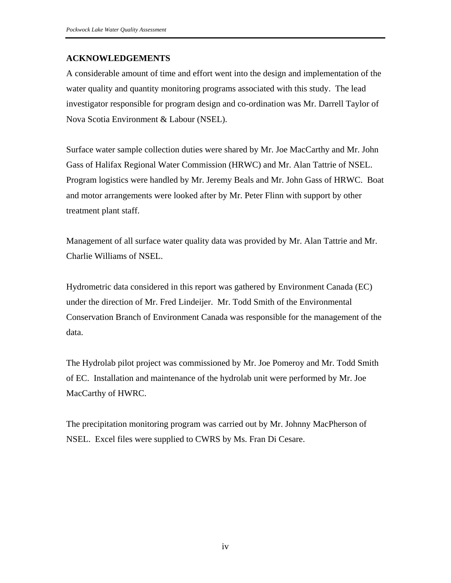### **ACKNOWLEDGEMENTS**

A considerable amount of time and effort went into the design and implementation of the water quality and quantity monitoring programs associated with this study. The lead investigator responsible for program design and co-ordination was Mr. Darrell Taylor of Nova Scotia Environment & Labour (NSEL).

Surface water sample collection duties were shared by Mr. Joe MacCarthy and Mr. John Gass of Halifax Regional Water Commission (HRWC) and Mr. Alan Tattrie of NSEL. Program logistics were handled by Mr. Jeremy Beals and Mr. John Gass of HRWC. Boat and motor arrangements were looked after by Mr. Peter Flinn with support by other treatment plant staff.

Management of all surface water quality data was provided by Mr. Alan Tattrie and Mr. Charlie Williams of NSEL.

Hydrometric data considered in this report was gathered by Environment Canada (EC) under the direction of Mr. Fred Lindeijer. Mr. Todd Smith of the Environmental Conservation Branch of Environment Canada was responsible for the management of the data.

The Hydrolab pilot project was commissioned by Mr. Joe Pomeroy and Mr. Todd Smith of EC. Installation and maintenance of the hydrolab unit were performed by Mr. Joe MacCarthy of HWRC.

The precipitation monitoring program was carried out by Mr. Johnny MacPherson of NSEL. Excel files were supplied to CWRS by Ms. Fran Di Cesare.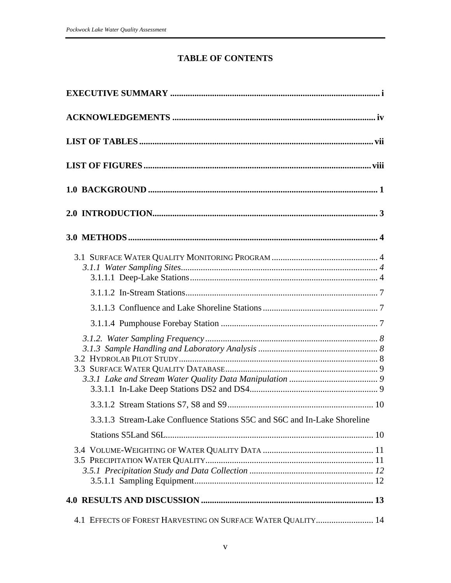## **TABLE OF CONTENTS**

| 3.3.1.3 Stream-Lake Confluence Stations S5C and S6C and In-Lake Shoreline |  |
|---------------------------------------------------------------------------|--|
|                                                                           |  |
|                                                                           |  |
|                                                                           |  |
| 4.1 EFFECTS OF FOREST HARVESTING ON SURFACE WATER QUALITY 14              |  |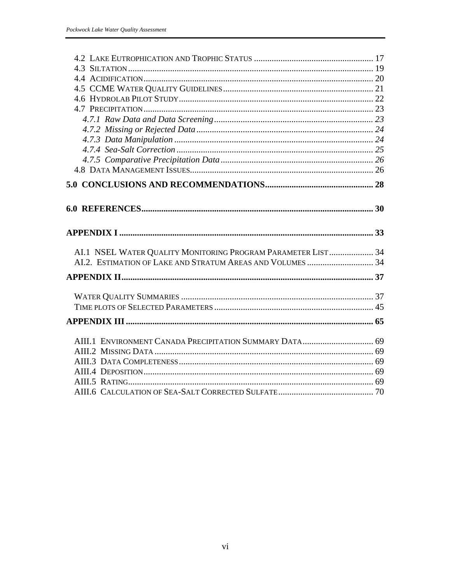| AI.1 NSEL WATER QUALITY MONITORING PROGRAM PARAMETER LIST 34 |  |
|--------------------------------------------------------------|--|
|                                                              |  |
|                                                              |  |
|                                                              |  |
|                                                              |  |
|                                                              |  |
|                                                              |  |
|                                                              |  |
|                                                              |  |
| AIII.1 ENVIRONMENT CANADA PRECIPITATION SUMMARY DATA 69      |  |
|                                                              |  |
|                                                              |  |
|                                                              |  |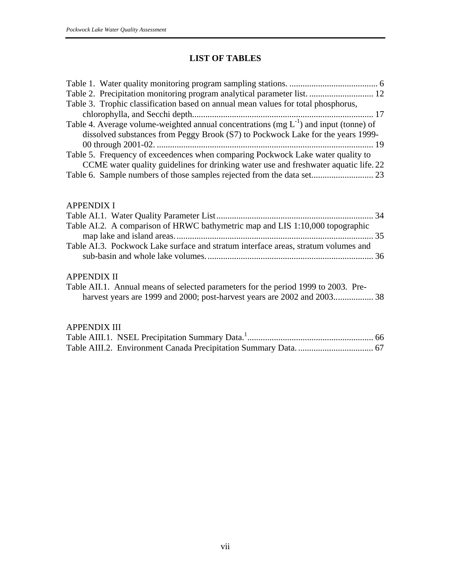## **LIST OF TABLES**

| Table 2. Precipitation monitoring program analytical parameter list.  12                   |
|--------------------------------------------------------------------------------------------|
| Table 3. Trophic classification based on annual mean values for total phosphorus,          |
|                                                                                            |
| Table 4. Average volume-weighted annual concentrations (mg $L^{-1}$ ) and input (tonne) of |
| dissolved substances from Peggy Brook (S7) to Pockwock Lake for the years 1999-            |
|                                                                                            |
| Table 5. Frequency of exceedences when comparing Pockwock Lake water quality to            |
| CCME water quality guidelines for drinking water use and freshwater aquatic life. 22       |
| Table 6. Sample numbers of those samples rejected from the data set 23                     |

### APPENDIX I

| Table AI.2. A comparison of HRWC bathymetric map and LIS 1:10,000 topographic      |
|------------------------------------------------------------------------------------|
|                                                                                    |
|                                                                                    |
| Table AI.3. Pockwock Lake surface and stratum interface areas, stratum volumes and |
|                                                                                    |

## APPENDIX II

| Table AII.1. Annual means of selected parameters for the period 1999 to 2003. Pre- |  |  |  |  |  |
|------------------------------------------------------------------------------------|--|--|--|--|--|
|                                                                                    |  |  |  |  |  |

### APPENDIX III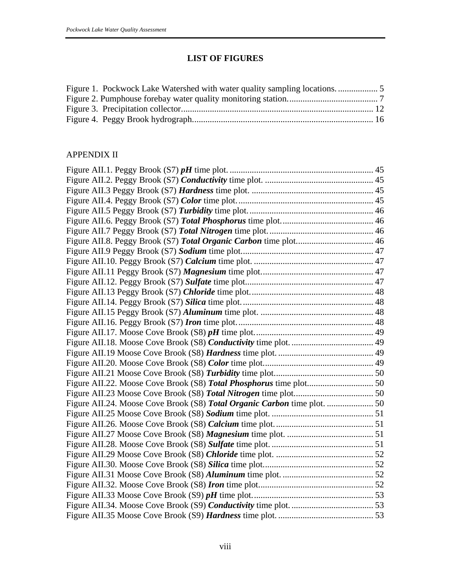## **LIST OF FIGURES**

### APPENDIX II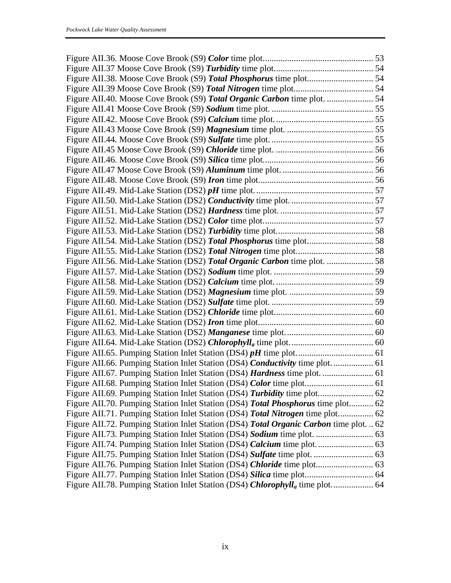| Figure AII.70. Pumping Station Inlet Station (DS4) Total Phosphorus time plot 62         |  |
|------------------------------------------------------------------------------------------|--|
| Figure AII.71. Pumping Station Inlet Station (DS4) Total Nitrogen time plot 62           |  |
| Figure AII.72. Pumping Station Inlet Station (DS4) Total Organic Carbon time plot.  62   |  |
|                                                                                          |  |
|                                                                                          |  |
|                                                                                          |  |
| Figure AII.76. Pumping Station Inlet Station (DS4) Chloride time plot 63                 |  |
|                                                                                          |  |
| Figure AII.78. Pumping Station Inlet Station (DS4) Chlorophyll <sub>a</sub> time plot 64 |  |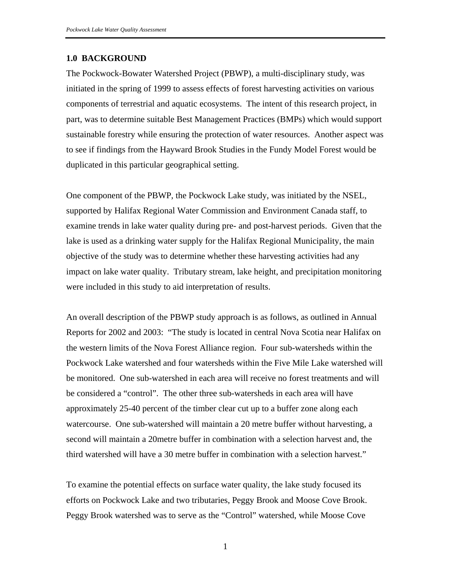### **1.0 BACKGROUND**

The Pockwock-Bowater Watershed Project (PBWP), a multi-disciplinary study, was initiated in the spring of 1999 to assess effects of forest harvesting activities on various components of terrestrial and aquatic ecosystems. The intent of this research project, in part, was to determine suitable Best Management Practices (BMPs) which would support sustainable forestry while ensuring the protection of water resources. Another aspect was to see if findings from the Hayward Brook Studies in the Fundy Model Forest would be duplicated in this particular geographical setting.

One component of the PBWP, the Pockwock Lake study, was initiated by the NSEL, supported by Halifax Regional Water Commission and Environment Canada staff, to examine trends in lake water quality during pre- and post-harvest periods. Given that the lake is used as a drinking water supply for the Halifax Regional Municipality, the main objective of the study was to determine whether these harvesting activities had any impact on lake water quality. Tributary stream, lake height, and precipitation monitoring were included in this study to aid interpretation of results.

An overall description of the PBWP study approach is as follows, as outlined in Annual Reports for 2002 and 2003: "The study is located in central Nova Scotia near Halifax on the western limits of the Nova Forest Alliance region. Four sub-watersheds within the Pockwock Lake watershed and four watersheds within the Five Mile Lake watershed will be monitored. One sub-watershed in each area will receive no forest treatments and will be considered a "control". The other three sub-watersheds in each area will have approximately 25-40 percent of the timber clear cut up to a buffer zone along each watercourse. One sub-watershed will maintain a 20 metre buffer without harvesting, a second will maintain a 20metre buffer in combination with a selection harvest and, the third watershed will have a 30 metre buffer in combination with a selection harvest."

To examine the potential effects on surface water quality, the lake study focused its efforts on Pockwock Lake and two tributaries, Peggy Brook and Moose Cove Brook. Peggy Brook watershed was to serve as the "Control" watershed, while Moose Cove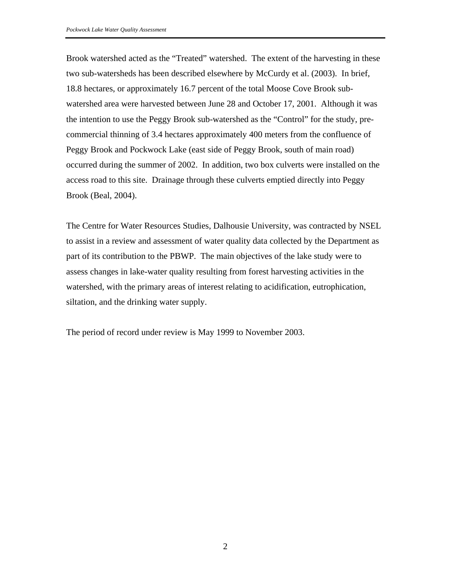Brook watershed acted as the "Treated" watershed. The extent of the harvesting in these two sub-watersheds has been described elsewhere by McCurdy et al. (2003). In brief, 18.8 hectares, or approximately 16.7 percent of the total Moose Cove Brook subwatershed area were harvested between June 28 and October 17, 2001. Although it was the intention to use the Peggy Brook sub-watershed as the "Control" for the study, precommercial thinning of 3.4 hectares approximately 400 meters from the confluence of Peggy Brook and Pockwock Lake (east side of Peggy Brook, south of main road) occurred during the summer of 2002. In addition, two box culverts were installed on the access road to this site. Drainage through these culverts emptied directly into Peggy Brook (Beal, 2004).

The Centre for Water Resources Studies, Dalhousie University, was contracted by NSEL to assist in a review and assessment of water quality data collected by the Department as part of its contribution to the PBWP. The main objectives of the lake study were to assess changes in lake-water quality resulting from forest harvesting activities in the watershed, with the primary areas of interest relating to acidification, eutrophication, siltation, and the drinking water supply.

The period of record under review is May 1999 to November 2003.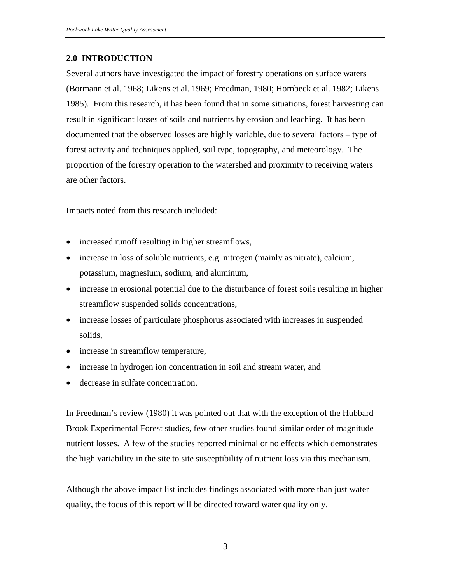## **2.0 INTRODUCTION**

Several authors have investigated the impact of forestry operations on surface waters (Bormann et al. 1968; Likens et al. 1969; Freedman, 1980; Hornbeck et al. 1982; Likens 1985). From this research, it has been found that in some situations, forest harvesting can result in significant losses of soils and nutrients by erosion and leaching. It has been documented that the observed losses are highly variable, due to several factors – type of forest activity and techniques applied, soil type, topography, and meteorology. The proportion of the forestry operation to the watershed and proximity to receiving waters are other factors.

Impacts noted from this research included:

- increased runoff resulting in higher streamflows,
- increase in loss of soluble nutrients, e.g. nitrogen (mainly as nitrate), calcium, potassium, magnesium, sodium, and aluminum,
- increase in erosional potential due to the disturbance of forest soils resulting in higher streamflow suspended solids concentrations,
- increase losses of particulate phosphorus associated with increases in suspended solids,
- increase in streamflow temperature,
- increase in hydrogen ion concentration in soil and stream water, and
- decrease in sulfate concentration.

In Freedman's review (1980) it was pointed out that with the exception of the Hubbard Brook Experimental Forest studies, few other studies found similar order of magnitude nutrient losses. A few of the studies reported minimal or no effects which demonstrates the high variability in the site to site susceptibility of nutrient loss via this mechanism.

Although the above impact list includes findings associated with more than just water quality, the focus of this report will be directed toward water quality only.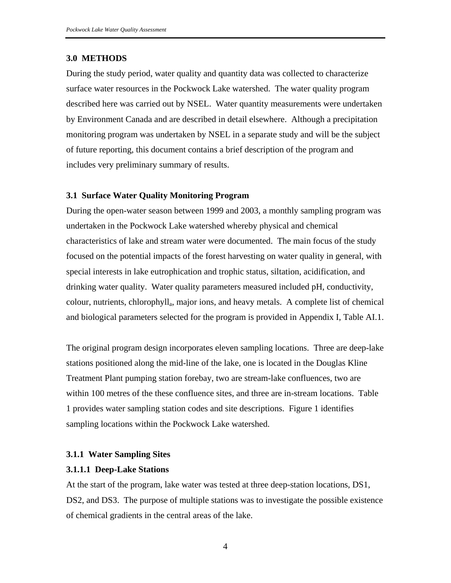### **3.0 METHODS**

During the study period, water quality and quantity data was collected to characterize surface water resources in the Pockwock Lake watershed. The water quality program described here was carried out by NSEL. Water quantity measurements were undertaken by Environment Canada and are described in detail elsewhere. Although a precipitation monitoring program was undertaken by NSEL in a separate study and will be the subject of future reporting, this document contains a brief description of the program and includes very preliminary summary of results.

#### **3.1 Surface Water Quality Monitoring Program**

During the open-water season between 1999 and 2003, a monthly sampling program was undertaken in the Pockwock Lake watershed whereby physical and chemical characteristics of lake and stream water were documented. The main focus of the study focused on the potential impacts of the forest harvesting on water quality in general, with special interests in lake eutrophication and trophic status, siltation, acidification, and drinking water quality. Water quality parameters measured included pH, conductivity, colour, nutrients, chlorophylla, major ions, and heavy metals. A complete list of chemical and biological parameters selected for the program is provided in Appendix I, Table AI.1.

The original program design incorporates eleven sampling locations. Three are deep-lake stations positioned along the mid-line of the lake, one is located in the Douglas Kline Treatment Plant pumping station forebay, two are stream-lake confluences, two are within 100 metres of the these confluence sites, and three are in-stream locations. Table 1 provides water sampling station codes and site descriptions. Figure 1 identifies sampling locations within the Pockwock Lake watershed.

### **3.1.1 Water Sampling Sites**

#### **3.1.1.1 Deep-Lake Stations**

At the start of the program, lake water was tested at three deep-station locations, DS1, DS2, and DS3. The purpose of multiple stations was to investigate the possible existence of chemical gradients in the central areas of the lake.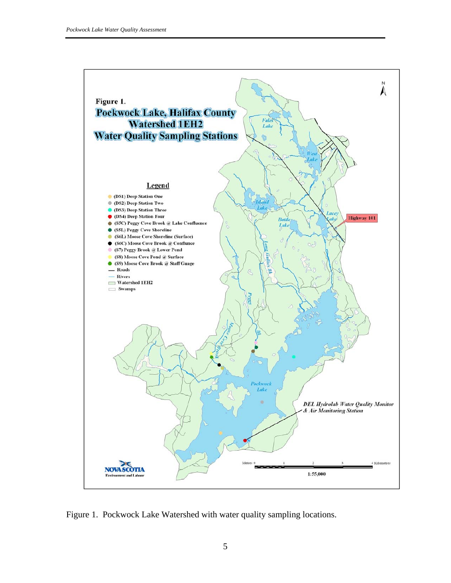

Figure 1. Pockwock Lake Watershed with water quality sampling locations.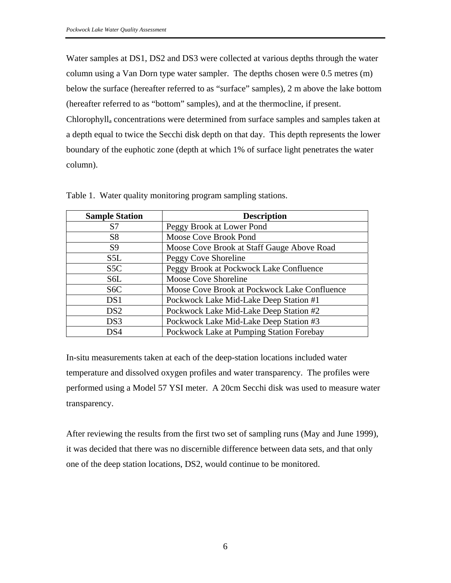Water samples at DS1, DS2 and DS3 were collected at various depths through the water column using a Van Dorn type water sampler. The depths chosen were 0.5 metres (m) below the surface (hereafter referred to as "surface" samples), 2 m above the lake bottom (hereafter referred to as "bottom" samples), and at the thermocline, if present. Chlorophylla concentrations were determined from surface samples and samples taken at a depth equal to twice the Secchi disk depth on that day. This depth represents the lower boundary of the euphotic zone (depth at which 1% of surface light penetrates the water column).

| <b>Sample Station</b> | <b>Description</b>                           |
|-----------------------|----------------------------------------------|
| S7                    | Peggy Brook at Lower Pond                    |
| S <sub>8</sub>        | Moose Cove Brook Pond                        |
| S <sub>9</sub>        | Moose Cove Brook at Staff Gauge Above Road   |
| S5L                   | Peggy Cove Shoreline                         |
| S <sub>5</sub> C      | Peggy Brook at Pockwock Lake Confluence      |
| S6L                   | <b>Moose Cove Shoreline</b>                  |
| S <sub>6</sub> C      | Moose Cove Brook at Pockwock Lake Confluence |
| DS1                   | Pockwock Lake Mid-Lake Deep Station #1       |
| DS <sub>2</sub>       | Pockwock Lake Mid-Lake Deep Station #2       |
| DS3                   | Pockwock Lake Mid-Lake Deep Station #3       |
| DS4                   | Pockwock Lake at Pumping Station Forebay     |

Table 1. Water quality monitoring program sampling stations.

In-situ measurements taken at each of the deep-station locations included water temperature and dissolved oxygen profiles and water transparency. The profiles were performed using a Model 57 YSI meter. A 20cm Secchi disk was used to measure water transparency.

After reviewing the results from the first two set of sampling runs (May and June 1999), it was decided that there was no discernible difference between data sets, and that only one of the deep station locations, DS2, would continue to be monitored.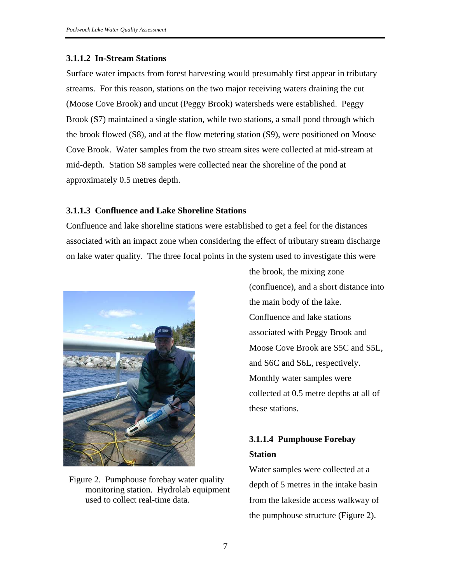### **3.1.1.2 In-Stream Stations**

Surface water impacts from forest harvesting would presumably first appear in tributary streams. For this reason, stations on the two major receiving waters draining the cut (Moose Cove Brook) and uncut (Peggy Brook) watersheds were established. Peggy Brook (S7) maintained a single station, while two stations, a small pond through which the brook flowed (S8), and at the flow metering station (S9), were positioned on Moose Cove Brook. Water samples from the two stream sites were collected at mid-stream at mid-depth. Station S8 samples were collected near the shoreline of the pond at approximately 0.5 metres depth.

### **3.1.1.3 Confluence and Lake Shoreline Stations**

Confluence and lake shoreline stations were established to get a feel for the distances associated with an impact zone when considering the effect of tributary stream discharge on lake water quality. The three focal points in the system used to investigate this were



Figure 2. Pumphouse forebay water quality monitoring station. Hydrolab equipment used to collect real-time data.

the brook, the mixing zone (confluence), and a short distance into the main body of the lake. Confluence and lake stations associated with Peggy Brook and Moose Cove Brook are S5C and S5L, and S6C and S6L, respectively. Monthly water samples were collected at 0.5 metre depths at all of these stations.

# **3.1.1.4 Pumphouse Forebay Station**

Water samples were collected at a depth of 5 metres in the intake basin from the lakeside access walkway of the pumphouse structure (Figure 2).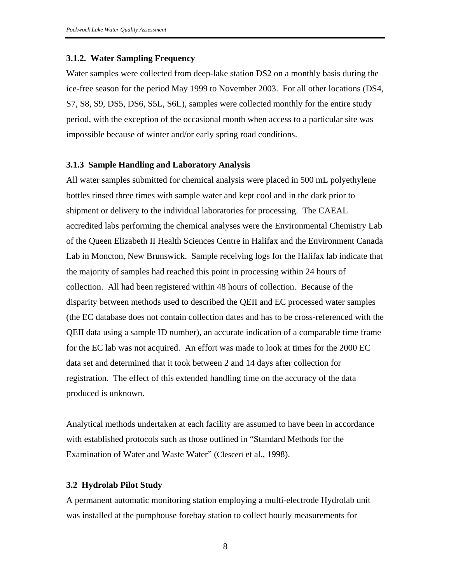#### **3.1.2. Water Sampling Frequency**

Water samples were collected from deep-lake station DS2 on a monthly basis during the ice-free season for the period May 1999 to November 2003. For all other locations (DS4, S7, S8, S9, DS5, DS6, S5L, S6L), samples were collected monthly for the entire study period, with the exception of the occasional month when access to a particular site was impossible because of winter and/or early spring road conditions.

#### **3.1.3 Sample Handling and Laboratory Analysis**

All water samples submitted for chemical analysis were placed in 500 mL polyethylene bottles rinsed three times with sample water and kept cool and in the dark prior to shipment or delivery to the individual laboratories for processing. The CAEAL accredited labs performing the chemical analyses were the Environmental Chemistry Lab of the Queen Elizabeth II Health Sciences Centre in Halifax and the Environment Canada Lab in Moncton, New Brunswick. Sample receiving logs for the Halifax lab indicate that the majority of samples had reached this point in processing within 24 hours of collection. All had been registered within 48 hours of collection. Because of the disparity between methods used to described the QEII and EC processed water samples (the EC database does not contain collection dates and has to be cross-referenced with the QEII data using a sample ID number), an accurate indication of a comparable time frame for the EC lab was not acquired. An effort was made to look at times for the 2000 EC data set and determined that it took between 2 and 14 days after collection for registration. The effect of this extended handling time on the accuracy of the data produced is unknown.

Analytical methods undertaken at each facility are assumed to have been in accordance with established protocols such as those outlined in "Standard Methods for the Examination of Water and Waste Water" (Clesceri et al., 1998).

### **3.2 Hydrolab Pilot Study**

A permanent automatic monitoring station employing a multi-electrode Hydrolab unit was installed at the pumphouse forebay station to collect hourly measurements for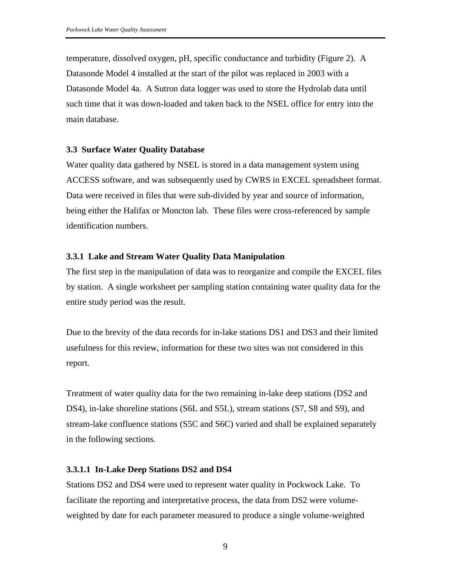temperature, dissolved oxygen, pH, specific conductance and turbidity (Figure 2). A Datasonde Model 4 installed at the start of the pilot was replaced in 2003 with a Datasonde Model 4a. A Sutron data logger was used to store the Hydrolab data until such time that it was down-loaded and taken back to the NSEL office for entry into the main database.

### **3.3 Surface Water Quality Database**

Water quality data gathered by NSEL is stored in a data management system using ACCESS software, and was subsequently used by CWRS in EXCEL spreadsheet format. Data were received in files that were sub-divided by year and source of information, being either the Halifax or Moncton lab. These files were cross-referenced by sample identification numbers.

### **3.3.1 Lake and Stream Water Quality Data Manipulation**

The first step in the manipulation of data was to reorganize and compile the EXCEL files by station. A single worksheet per sampling station containing water quality data for the entire study period was the result.

Due to the brevity of the data records for in-lake stations DS1 and DS3 and their limited usefulness for this review, information for these two sites was not considered in this report.

Treatment of water quality data for the two remaining in-lake deep stations (DS2 and DS4), in-lake shoreline stations (S6L and S5L), stream stations (S7, S8 and S9), and stream-lake confluence stations (S5C and S6C) varied and shall be explained separately in the following sections.

### **3.3.1.1 In-Lake Deep Stations DS2 and DS4**

Stations DS2 and DS4 were used to represent water quality in Pockwock Lake. To facilitate the reporting and interpretative process, the data from DS2 were volumeweighted by date for each parameter measured to produce a single volume-weighted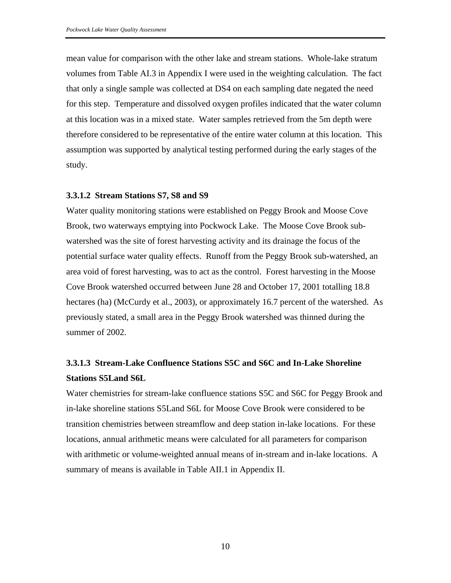mean value for comparison with the other lake and stream stations. Whole-lake stratum volumes from Table AI.3 in Appendix I were used in the weighting calculation. The fact that only a single sample was collected at DS4 on each sampling date negated the need for this step. Temperature and dissolved oxygen profiles indicated that the water column at this location was in a mixed state. Water samples retrieved from the 5m depth were therefore considered to be representative of the entire water column at this location. This assumption was supported by analytical testing performed during the early stages of the study.

#### **3.3.1.2 Stream Stations S7, S8 and S9**

Water quality monitoring stations were established on Peggy Brook and Moose Cove Brook, two waterways emptying into Pockwock Lake. The Moose Cove Brook subwatershed was the site of forest harvesting activity and its drainage the focus of the potential surface water quality effects. Runoff from the Peggy Brook sub-watershed, an area void of forest harvesting, was to act as the control. Forest harvesting in the Moose Cove Brook watershed occurred between June 28 and October 17, 2001 totalling 18.8 hectares (ha) (McCurdy et al., 2003), or approximately 16.7 percent of the watershed. As previously stated, a small area in the Peggy Brook watershed was thinned during the summer of 2002.

## **3.3.1.3 Stream-Lake Confluence Stations S5C and S6C and In-Lake Shoreline Stations S5Land S6L**

Water chemistries for stream-lake confluence stations S5C and S6C for Peggy Brook and in-lake shoreline stations S5Land S6L for Moose Cove Brook were considered to be transition chemistries between streamflow and deep station in-lake locations. For these locations, annual arithmetic means were calculated for all parameters for comparison with arithmetic or volume-weighted annual means of in-stream and in-lake locations. A summary of means is available in Table AII.1 in Appendix II.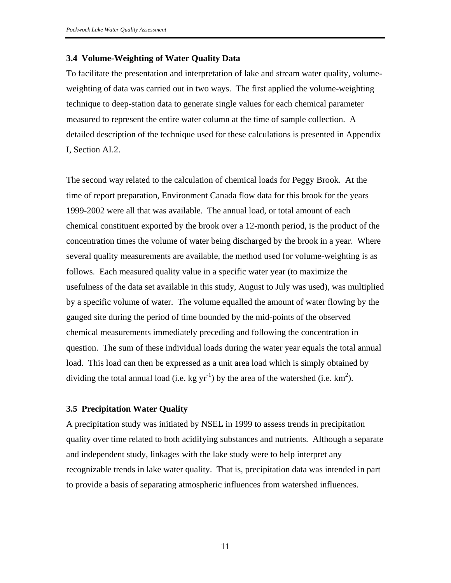### **3.4 Volume-Weighting of Water Quality Data**

To facilitate the presentation and interpretation of lake and stream water quality, volumeweighting of data was carried out in two ways. The first applied the volume-weighting technique to deep-station data to generate single values for each chemical parameter measured to represent the entire water column at the time of sample collection. A detailed description of the technique used for these calculations is presented in Appendix I, Section AI.2.

The second way related to the calculation of chemical loads for Peggy Brook. At the time of report preparation, Environment Canada flow data for this brook for the years 1999-2002 were all that was available. The annual load, or total amount of each chemical constituent exported by the brook over a 12-month period, is the product of the concentration times the volume of water being discharged by the brook in a year. Where several quality measurements are available, the method used for volume-weighting is as follows. Each measured quality value in a specific water year (to maximize the usefulness of the data set available in this study, August to July was used), was multiplied by a specific volume of water. The volume equalled the amount of water flowing by the gauged site during the period of time bounded by the mid-points of the observed chemical measurements immediately preceding and following the concentration in question. The sum of these individual loads during the water year equals the total annual load. This load can then be expressed as a unit area load which is simply obtained by dividing the total annual load (i.e. kg  $yr^{-1}$ ) by the area of the watershed (i.e.  $km^2$ ).

#### **3.5 Precipitation Water Quality**

A precipitation study was initiated by NSEL in 1999 to assess trends in precipitation quality over time related to both acidifying substances and nutrients. Although a separate and independent study, linkages with the lake study were to help interpret any recognizable trends in lake water quality. That is, precipitation data was intended in part to provide a basis of separating atmospheric influences from watershed influences.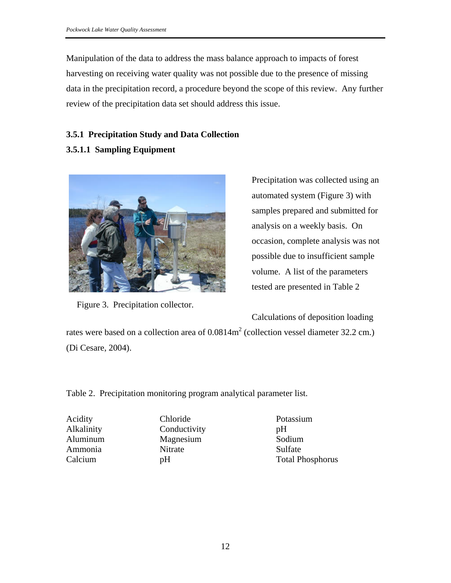Manipulation of the data to address the mass balance approach to impacts of forest harvesting on receiving water quality was not possible due to the presence of missing data in the precipitation record, a procedure beyond the scope of this review. Any further review of the precipitation data set should address this issue.

## **3.5.1 Precipitation Study and Data Collection**

## **3.5.1.1 Sampling Equipment**



Figure 3. Precipitation collector.

Precipitation was collected using an automated system (Figure 3) with samples prepared and submitted for analysis on a weekly basis. On occasion, complete analysis was not possible due to insufficient sample volume. A list of the parameters tested are presented in Table 2

Calculations of deposition loading

rates were based on a collection area of  $0.0814m^2$  (collection vessel diameter 32.2 cm.) (Di Cesare, 2004).

Table 2. Precipitation monitoring program analytical parameter list.

Acidity Alkalinity Aluminum Ammonia Calcium

Chloride **Conductivity** Magnesium **Nitrate** pH

Potassium pH Sodium Sulfate Total Phosphorus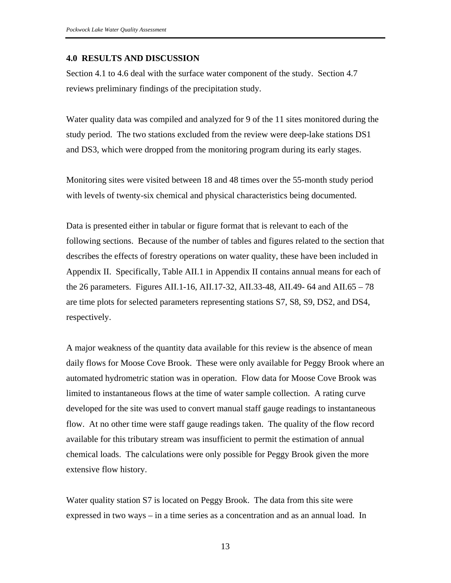### **4.0 RESULTS AND DISCUSSION**

Section 4.1 to 4.6 deal with the surface water component of the study. Section 4.7 reviews preliminary findings of the precipitation study.

Water quality data was compiled and analyzed for 9 of the 11 sites monitored during the study period. The two stations excluded from the review were deep-lake stations DS1 and DS3, which were dropped from the monitoring program during its early stages.

Monitoring sites were visited between 18 and 48 times over the 55-month study period with levels of twenty-six chemical and physical characteristics being documented.

Data is presented either in tabular or figure format that is relevant to each of the following sections. Because of the number of tables and figures related to the section that describes the effects of forestry operations on water quality, these have been included in Appendix II. Specifically, Table AII.1 in Appendix II contains annual means for each of the 26 parameters. Figures AII.1-16, AII.17-32, AII.33-48, AII.49- 64 and AII.65 – 78 are time plots for selected parameters representing stations S7, S8, S9, DS2, and DS4, respectively.

A major weakness of the quantity data available for this review is the absence of mean daily flows for Moose Cove Brook. These were only available for Peggy Brook where an automated hydrometric station was in operation. Flow data for Moose Cove Brook was limited to instantaneous flows at the time of water sample collection. A rating curve developed for the site was used to convert manual staff gauge readings to instantaneous flow. At no other time were staff gauge readings taken. The quality of the flow record available for this tributary stream was insufficient to permit the estimation of annual chemical loads. The calculations were only possible for Peggy Brook given the more extensive flow history.

Water quality station S7 is located on Peggy Brook. The data from this site were expressed in two ways – in a time series as a concentration and as an annual load. In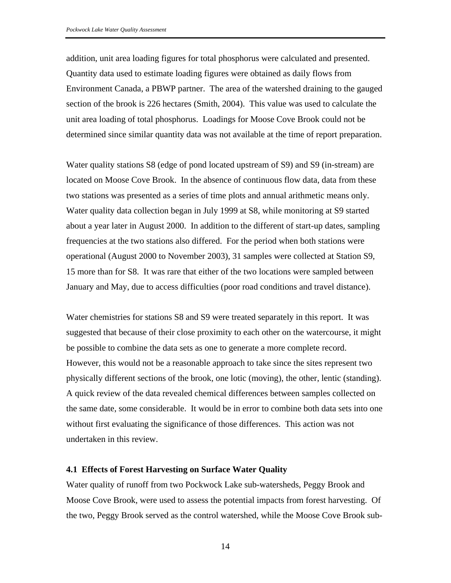addition, unit area loading figures for total phosphorus were calculated and presented. Quantity data used to estimate loading figures were obtained as daily flows from Environment Canada, a PBWP partner. The area of the watershed draining to the gauged section of the brook is 226 hectares (Smith, 2004). This value was used to calculate the unit area loading of total phosphorus. Loadings for Moose Cove Brook could not be determined since similar quantity data was not available at the time of report preparation.

Water quality stations S8 (edge of pond located upstream of S9) and S9 (in-stream) are located on Moose Cove Brook. In the absence of continuous flow data, data from these two stations was presented as a series of time plots and annual arithmetic means only. Water quality data collection began in July 1999 at S8, while monitoring at S9 started about a year later in August 2000. In addition to the different of start-up dates, sampling frequencies at the two stations also differed. For the period when both stations were operational (August 2000 to November 2003), 31 samples were collected at Station S9, 15 more than for S8. It was rare that either of the two locations were sampled between January and May, due to access difficulties (poor road conditions and travel distance).

Water chemistries for stations S8 and S9 were treated separately in this report. It was suggested that because of their close proximity to each other on the watercourse, it might be possible to combine the data sets as one to generate a more complete record. However, this would not be a reasonable approach to take since the sites represent two physically different sections of the brook, one lotic (moving), the other, lentic (standing). A quick review of the data revealed chemical differences between samples collected on the same date, some considerable. It would be in error to combine both data sets into one without first evaluating the significance of those differences. This action was not undertaken in this review.

### **4.1 Effects of Forest Harvesting on Surface Water Quality**

Water quality of runoff from two Pockwock Lake sub-watersheds, Peggy Brook and Moose Cove Brook, were used to assess the potential impacts from forest harvesting. Of the two, Peggy Brook served as the control watershed, while the Moose Cove Brook sub-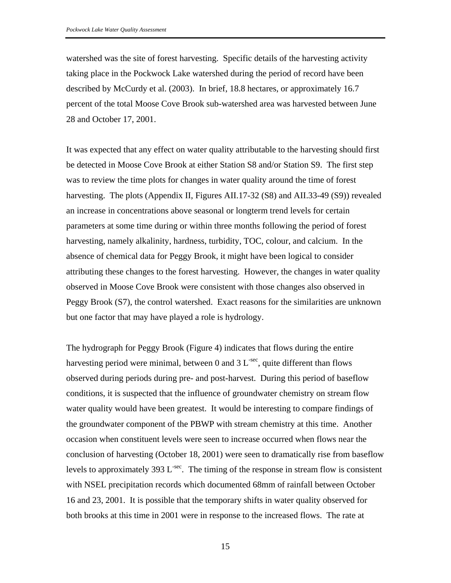watershed was the site of forest harvesting. Specific details of the harvesting activity taking place in the Pockwock Lake watershed during the period of record have been described by McCurdy et al. (2003). In brief, 18.8 hectares, or approximately 16.7 percent of the total Moose Cove Brook sub-watershed area was harvested between June 28 and October 17, 2001.

It was expected that any effect on water quality attributable to the harvesting should first be detected in Moose Cove Brook at either Station S8 and/or Station S9. The first step was to review the time plots for changes in water quality around the time of forest harvesting. The plots (Appendix II, Figures AII.17-32 (S8) and AII.33-49 (S9)) revealed an increase in concentrations above seasonal or longterm trend levels for certain parameters at some time during or within three months following the period of forest harvesting, namely alkalinity, hardness, turbidity, TOC, colour, and calcium. In the absence of chemical data for Peggy Brook, it might have been logical to consider attributing these changes to the forest harvesting. However, the changes in water quality observed in Moose Cove Brook were consistent with those changes also observed in Peggy Brook (S7), the control watershed. Exact reasons for the similarities are unknown but one factor that may have played a role is hydrology.

The hydrograph for Peggy Brook (Figure 4) indicates that flows during the entire harvesting period were minimal, between 0 and 3  $L<sup>sec</sup>$ , quite different than flows observed during periods during pre- and post-harvest. During this period of baseflow conditions, it is suspected that the influence of groundwater chemistry on stream flow water quality would have been greatest. It would be interesting to compare findings of the groundwater component of the PBWP with stream chemistry at this time. Another occasion when constituent levels were seen to increase occurred when flows near the conclusion of harvesting (October 18, 2001) were seen to dramatically rise from baseflow levels to approximately 393 L<sup>-sec</sup>. The timing of the response in stream flow is consistent with NSEL precipitation records which documented 68mm of rainfall between October 16 and 23, 2001. It is possible that the temporary shifts in water quality observed for both brooks at this time in 2001 were in response to the increased flows. The rate at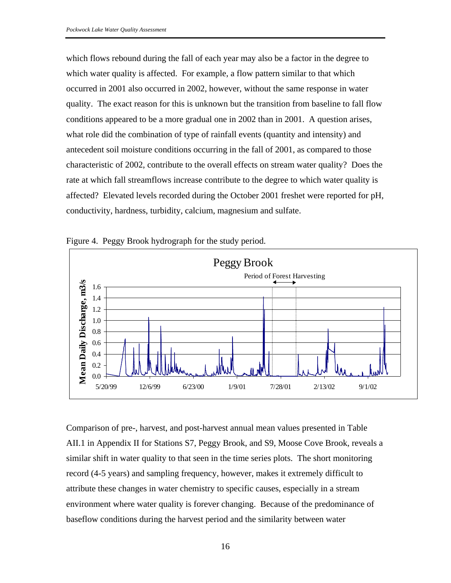which flows rebound during the fall of each year may also be a factor in the degree to which water quality is affected. For example, a flow pattern similar to that which occurred in 2001 also occurred in 2002, however, without the same response in water quality. The exact reason for this is unknown but the transition from baseline to fall flow conditions appeared to be a more gradual one in 2002 than in 2001. A question arises, what role did the combination of type of rainfall events (quantity and intensity) and antecedent soil moisture conditions occurring in the fall of 2001, as compared to those characteristic of 2002, contribute to the overall effects on stream water quality? Does the rate at which fall streamflows increase contribute to the degree to which water quality is affected? Elevated levels recorded during the October 2001 freshet were reported for pH, conductivity, hardness, turbidity, calcium, magnesium and sulfate.



Figure 4. Peggy Brook hydrograph for the study period.

Comparison of pre-, harvest, and post-harvest annual mean values presented in Table AII.1 in Appendix II for Stations S7, Peggy Brook, and S9, Moose Cove Brook, reveals a similar shift in water quality to that seen in the time series plots. The short monitoring record (4-5 years) and sampling frequency, however, makes it extremely difficult to attribute these changes in water chemistry to specific causes, especially in a stream environment where water quality is forever changing. Because of the predominance of baseflow conditions during the harvest period and the similarity between water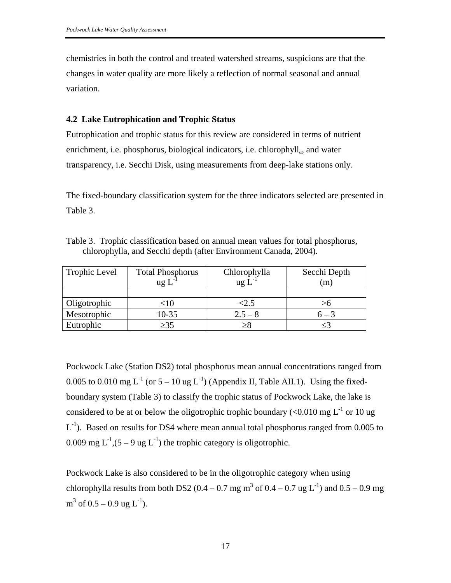chemistries in both the control and treated watershed streams, suspicions are that the changes in water quality are more likely a reflection of normal seasonal and annual variation.

### **4.2 Lake Eutrophication and Trophic Status**

Eutrophication and trophic status for this review are considered in terms of nutrient enrichment, i.e. phosphorus, biological indicators, i.e. chlorophyll<sub>a</sub>, and water transparency, i.e. Secchi Disk, using measurements from deep-lake stations only.

The fixed-boundary classification system for the three indicators selected are presented in Table 3.

Table 3. Trophic classification based on annual mean values for total phosphorus, chlorophylla, and Secchi depth (after Environment Canada, 2004).

| Trophic Level | <b>Total Phosphorus</b><br>ug I | Chlorophylla<br>$\lg L^{-1}$ | Secchi Depth<br>m, |
|---------------|---------------------------------|------------------------------|--------------------|
|               |                                 |                              |                    |
| Oligotrophic  | ≤10                             | $<$ 2.5                      |                    |
| Mesotrophic   | $10-35$                         | $2.5 - 8$                    | $6 - 3$            |
| Eutrophic     | >35                             |                              |                    |

Pockwock Lake (Station DS2) total phosphorus mean annual concentrations ranged from 0.005 to 0.010 mg  $L^{-1}$  (or  $5-10$  ug  $L^{-1}$ ) (Appendix II, Table AII.1). Using the fixedboundary system (Table 3) to classify the trophic status of Pockwock Lake, the lake is considered to be at or below the oligotrophic trophic boundary (<0.010 mg  $L^{-1}$  or 10 ug  $L^{-1}$ ). Based on results for DS4 where mean annual total phosphorus ranged from 0.005 to 0.009 mg  $L^{-1}$ ,  $(5 - 9$  ug  $L^{-1}$ ) the trophic category is oligotrophic.

Pockwock Lake is also considered to be in the oligotrophic category when using chlorophylla results from both DS2 (0.4 – 0.7 mg m<sup>3</sup> of 0.4 – 0.7 ug L<sup>-1</sup>) and 0.5 – 0.9 mg  $m^3$  of 0.5 – 0.9 ug L<sup>-1</sup>).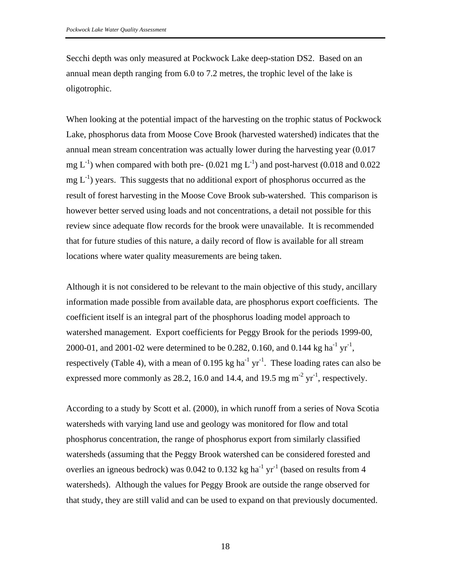Secchi depth was only measured at Pockwock Lake deep-station DS2. Based on an annual mean depth ranging from 6.0 to 7.2 metres, the trophic level of the lake is oligotrophic.

When looking at the potential impact of the harvesting on the trophic status of Pockwock Lake, phosphorus data from Moose Cove Brook (harvested watershed) indicates that the annual mean stream concentration was actually lower during the harvesting year (0.017 mg  $L^{-1}$ ) when compared with both pre- (0.021 mg  $L^{-1}$ ) and post-harvest (0.018 and 0.022  $mg L^{-1}$ ) years. This suggests that no additional export of phosphorus occurred as the result of forest harvesting in the Moose Cove Brook sub-watershed. This comparison is however better served using loads and not concentrations, a detail not possible for this review since adequate flow records for the brook were unavailable. It is recommended that for future studies of this nature, a daily record of flow is available for all stream locations where water quality measurements are being taken.

Although it is not considered to be relevant to the main objective of this study, ancillary information made possible from available data, are phosphorus export coefficients. The coefficient itself is an integral part of the phosphorus loading model approach to watershed management. Export coefficients for Peggy Brook for the periods 1999-00, 2000-01, and 2001-02 were determined to be 0.282, 0.160, and 0.144 kg ha<sup>-1</sup> yr<sup>-1</sup>, respectively (Table 4), with a mean of 0.195 kg ha<sup>-1</sup> yr<sup>-1</sup>. These loading rates can also be expressed more commonly as 28.2, 16.0 and 14.4, and 19.5 mg  $m<sup>-2</sup> yr<sup>-1</sup>$ , respectively.

According to a study by Scott et al. (2000), in which runoff from a series of Nova Scotia watersheds with varying land use and geology was monitored for flow and total phosphorus concentration, the range of phosphorus export from similarly classified watersheds (assuming that the Peggy Brook watershed can be considered forested and overlies an igneous bedrock) was 0.042 to 0.132 kg ha<sup>-1</sup> yr<sup>-1</sup> (based on results from 4 watersheds). Although the values for Peggy Brook are outside the range observed for that study, they are still valid and can be used to expand on that previously documented.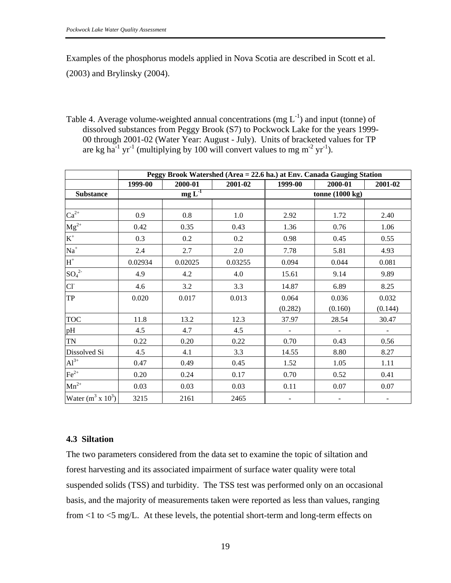Examples of the phosphorus models applied in Nova Scotia are described in Scott et al. (2003) and Brylinsky (2004).

Table 4. Average volume-weighted annual concentrations (mg  $L^{-1}$ ) and input (tonne) of dissolved substances from Peggy Brook (S7) to Pockwock Lake for the years 1999- 00 through 2001-02 (Water Year: August - July). Units of bracketed values for TP are kg ha<sup>-1</sup> yr<sup>-1</sup> (multiplying by 100 will convert values to mg m<sup>-2</sup> yr<sup>-1</sup>).

|                      | Peggy Brook Watershed (Area = 22.6 ha.) at Env. Canada Gauging Station |         |                           |         |         |         |
|----------------------|------------------------------------------------------------------------|---------|---------------------------|---------|---------|---------|
|                      | 1999-00                                                                | 2000-01 | 2001-02                   | 1999-00 | 2000-01 | 2001-02 |
| <b>Substance</b>     | $mg\overline{L}^1$                                                     |         | tonne $(1000 \text{ kg})$ |         |         |         |
|                      |                                                                        |         |                           |         |         |         |
| $\mathrm{Ca}^{2+}$   | 0.9                                                                    | 0.8     | 1.0                       | 2.92    | 1.72    | 2.40    |
| $Mg^{2+}$            | 0.42                                                                   | 0.35    | 0.43                      | 1.36    | 0.76    | 1.06    |
| $K^+$                | 0.3                                                                    | 0.2     | $0.2\,$                   | 0.98    | 0.45    | 0.55    |
| $Na+$                | 2.4                                                                    | 2.7     | 2.0                       | 7.78    | 5.81    | 4.93    |
| $H^+$                | 0.02934                                                                | 0.02025 | 0.03255                   | 0.094   | 0.044   | 0.081   |
| $SO_4^2$             | 4.9                                                                    | 4.2     | 4.0                       | 15.61   | 9.14    | 9.89    |
| $Cl^{-}$             | 4.6                                                                    | 3.2     | 3.3                       | 14.87   | 6.89    | 8.25    |
| <b>TP</b>            | 0.020                                                                  | 0.017   | 0.013                     | 0.064   | 0.036   | 0.032   |
|                      |                                                                        |         |                           | (0.282) | (0.160) | (0.144) |
| <b>TOC</b>           | 11.8                                                                   | 13.2    | 12.3                      | 37.97   | 28.54   | 30.47   |
| pH                   | 4.5                                                                    | 4.7     | 4.5                       |         |         |         |
| TN                   | 0.22                                                                   | 0.20    | 0.22                      | 0.70    | 0.43    | 0.56    |
| Dissolved Si         | 4.5                                                                    | 4.1     | 3.3                       | 14.55   | 8.80    | 8.27    |
| $Al^{3+}$            | 0.47                                                                   | 0.49    | 0.45                      | 1.52    | 1.05    | 1.11    |
| $\text{Fe}^{2+}$     | 0.20                                                                   | 0.24    | 0.17                      | 0.70    | 0.52    | 0.41    |
| $Mn^{2+}$            | 0.03                                                                   | 0.03    | 0.03                      | 0.11    | 0.07    | 0.07    |
| Water $(m^3 x 10^3)$ | 3215                                                                   | 2161    | 2465                      | -       |         | -       |

### **4.3 Siltation**

The two parameters considered from the data set to examine the topic of siltation and forest harvesting and its associated impairment of surface water quality were total suspended solids (TSS) and turbidity. The TSS test was performed only on an occasional basis, and the majority of measurements taken were reported as less than values, ranging from <1 to <5 mg/L. At these levels, the potential short-term and long-term effects on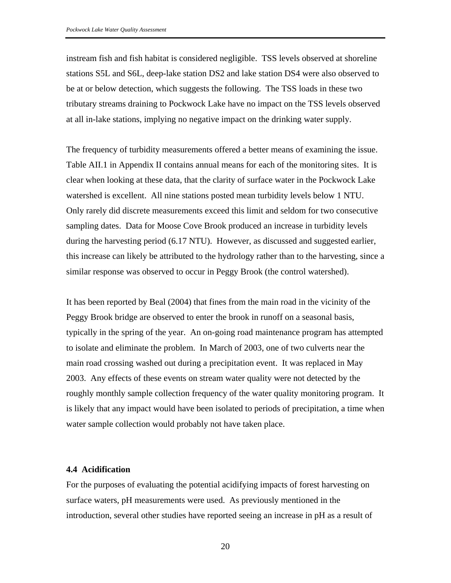instream fish and fish habitat is considered negligible. TSS levels observed at shoreline stations S5L and S6L, deep-lake station DS2 and lake station DS4 were also observed to be at or below detection, which suggests the following. The TSS loads in these two tributary streams draining to Pockwock Lake have no impact on the TSS levels observed at all in-lake stations, implying no negative impact on the drinking water supply.

The frequency of turbidity measurements offered a better means of examining the issue. Table AII.1 in Appendix II contains annual means for each of the monitoring sites. It is clear when looking at these data, that the clarity of surface water in the Pockwock Lake watershed is excellent. All nine stations posted mean turbidity levels below 1 NTU. Only rarely did discrete measurements exceed this limit and seldom for two consecutive sampling dates. Data for Moose Cove Brook produced an increase in turbidity levels during the harvesting period (6.17 NTU). However, as discussed and suggested earlier, this increase can likely be attributed to the hydrology rather than to the harvesting, since a similar response was observed to occur in Peggy Brook (the control watershed).

It has been reported by Beal (2004) that fines from the main road in the vicinity of the Peggy Brook bridge are observed to enter the brook in runoff on a seasonal basis, typically in the spring of the year. An on-going road maintenance program has attempted to isolate and eliminate the problem. In March of 2003, one of two culverts near the main road crossing washed out during a precipitation event. It was replaced in May 2003. Any effects of these events on stream water quality were not detected by the roughly monthly sample collection frequency of the water quality monitoring program. It is likely that any impact would have been isolated to periods of precipitation, a time when water sample collection would probably not have taken place.

### **4.4 Acidification**

For the purposes of evaluating the potential acidifying impacts of forest harvesting on surface waters, pH measurements were used. As previously mentioned in the introduction, several other studies have reported seeing an increase in pH as a result of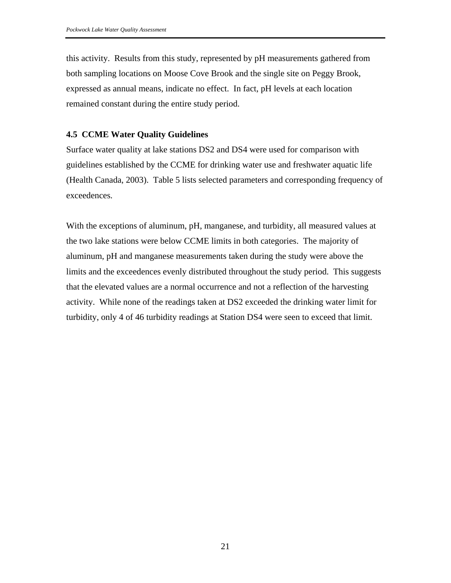this activity. Results from this study, represented by pH measurements gathered from both sampling locations on Moose Cove Brook and the single site on Peggy Brook, expressed as annual means, indicate no effect. In fact, pH levels at each location remained constant during the entire study period.

### **4.5 CCME Water Quality Guidelines**

Surface water quality at lake stations DS2 and DS4 were used for comparison with guidelines established by the CCME for drinking water use and freshwater aquatic life (Health Canada, 2003). Table 5 lists selected parameters and corresponding frequency of exceedences.

With the exceptions of aluminum, pH, manganese, and turbidity, all measured values at the two lake stations were below CCME limits in both categories. The majority of aluminum, pH and manganese measurements taken during the study were above the limits and the exceedences evenly distributed throughout the study period. This suggests that the elevated values are a normal occurrence and not a reflection of the harvesting activity. While none of the readings taken at DS2 exceeded the drinking water limit for turbidity, only 4 of 46 turbidity readings at Station DS4 were seen to exceed that limit.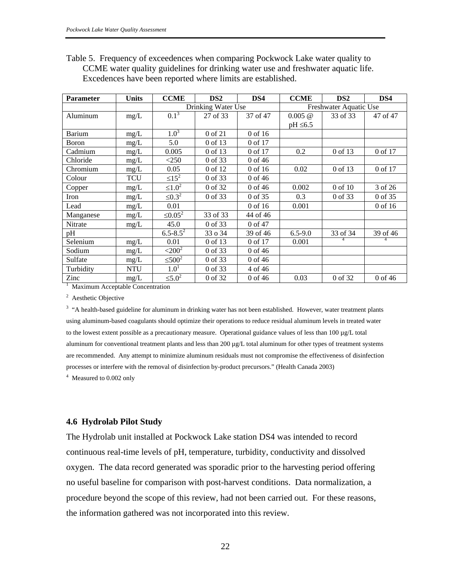| Table 5. Frequency of exceedences when comparing Pockwock Lake water quality to   |
|-----------------------------------------------------------------------------------|
| CCME water quality guidelines for drinking water use and freshwater aquatic life. |
| Excedences have been reported where limits are established.                       |

| <b>Parameter</b>                 | <b>Units</b> | <b>CCME</b>          | DS <sub>2</sub>    | DS4      | <b>CCME</b>   | DS <sub>2</sub>        | DS4      |
|----------------------------------|--------------|----------------------|--------------------|----------|---------------|------------------------|----------|
|                                  |              |                      | Drinking Water Use |          |               | Freshwater Aquatic Use |          |
| Aluminum                         | mg/L         | $0.1^3$              | 27 of 33           | 37 of 47 | $0.005 \ @$   | 33 of 33               | 47 of 47 |
|                                  |              |                      |                    |          | $pH \leq 6.5$ |                        |          |
| <b>Barium</b>                    | mg/L         | $1.0^{3}$            | 0 of 21            | 0 of 16  |               |                        |          |
| Boron                            | mg/L         | 5.0                  | 0 of 13            | 0 of 17  |               |                        |          |
| Cadmium                          | mg/L         | 0.005                | 0 of 13            | 0 of 17  | 0.2           | 0 of 13                | 0 of 17  |
| Chloride                         | mg/L         | $<$ 250              | 0 of 33            | 0 of 46  |               |                        |          |
| Chromium                         | mg/L         | 0.05                 | 0 of 12            | 0 of 16  | 0.02          | 0 of 13                | 0 of 17  |
| Colour                           | <b>TCU</b>   | $\leq 15^2$          | 0 of 33            | 0 of 46  |               |                        |          |
| Copper                           | mg/L         | $\leq 1.0^2$         | 0 of 32            | 0 of 46  | 0.002         | 0 of 10                | 3 of 26  |
| Iron                             | mg/L         | $\leq 0.3^2$         | 0 of 33            | 0 of 35  | 0.3           | 0 of 33                | 0 of 35  |
| Lead                             | mg/L         | 0.01                 |                    | 0 of 16  | 0.001         |                        | 0 of 16  |
| Manganese                        | mg/L         | $\leq 0.05^2$        | 33 of 33           | 44 of 46 |               |                        |          |
| Nitrate                          | mg/L         | 45.0                 | 0 of 33            | 0 of 47  |               |                        |          |
| pH                               |              | $6.5 - 8.5^2$        | 33 o 34            | 39 of 46 | $6.5 - 9.0$   | 33 of 34               | 39 of 46 |
| Selenium                         | mg/L         | 0.01                 | 0 of 13            | 0 of 17  | 0.001         |                        |          |
| Sodium                           | mg/L         | $<$ 200 <sup>2</sup> | 0 of 33            | 0 of 46  |               |                        |          |
| Sulfate                          | mg/L         | $\leq 500^2$         | 0 of 33            | 0 of 46  |               |                        |          |
| Turbidity                        | <b>NTU</b>   | 1.0 <sup>1</sup>     | 0 of 33            | 4 of 46  |               |                        |          |
| Zinc                             | mg/L         | $\leq 5.0^2$         | 0 of 32            | 0 of 46  | 0.03          | 0 of 32                | 0 of 46  |
| Maximum Acceptable Concentration |              |                      |                    |          |               |                        |          |

<sup>2</sup> Aesthetic Objective

<sup>3</sup> "A health-based guideline for aluminum in drinking water has not been established. However, water treatment plants using aluminum-based coagulants should optimize their operations to reduce residual aluminum levels in treated water to the lowest extent possible as a precautionary measure. Operational guidance values of less than 100 µg/L total aluminum for conventional treatment plants and less than 200 µg/L total aluminum for other types of treatment systems are recommended. Any attempt to minimize aluminum residuals must not compromise the effectiveness of disinfection processes or interfere with the removal of disinfection by-product precursors." (Health Canada 2003)

<sup>4</sup> Measured to 0.002 only

#### **4.6 Hydrolab Pilot Study**

The Hydrolab unit installed at Pockwock Lake station DS4 was intended to record continuous real-time levels of pH, temperature, turbidity, conductivity and dissolved oxygen. The data record generated was sporadic prior to the harvesting period offering no useful baseline for comparison with post-harvest conditions. Data normalization, a procedure beyond the scope of this review, had not been carried out. For these reasons, the information gathered was not incorporated into this review.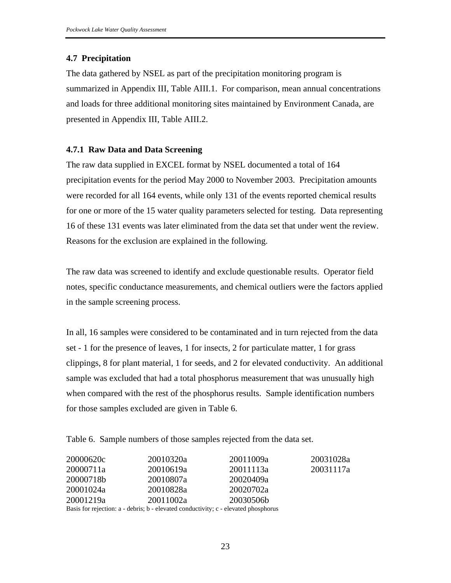### **4.7 Precipitation**

The data gathered by NSEL as part of the precipitation monitoring program is summarized in Appendix III, Table AIII.1. For comparison, mean annual concentrations and loads for three additional monitoring sites maintained by Environment Canada, are presented in Appendix III, Table AIII.2.

### **4.7.1 Raw Data and Data Screening**

The raw data supplied in EXCEL format by NSEL documented a total of 164 precipitation events for the period May 2000 to November 2003. Precipitation amounts were recorded for all 164 events, while only 131 of the events reported chemical results for one or more of the 15 water quality parameters selected for testing. Data representing 16 of these 131 events was later eliminated from the data set that under went the review. Reasons for the exclusion are explained in the following.

The raw data was screened to identify and exclude questionable results. Operator field notes, specific conductance measurements, and chemical outliers were the factors applied in the sample screening process.

In all, 16 samples were considered to be contaminated and in turn rejected from the data set - 1 for the presence of leaves, 1 for insects, 2 for particulate matter, 1 for grass clippings, 8 for plant material, 1 for seeds, and 2 for elevated conductivity. An additional sample was excluded that had a total phosphorus measurement that was unusually high when compared with the rest of the phosphorus results. Sample identification numbers for those samples excluded are given in Table 6.

Table 6. Sample numbers of those samples rejected from the data set.

| 20000620c | 20010320a                                                                  | 20011009a | 20031028a |
|-----------|----------------------------------------------------------------------------|-----------|-----------|
| 20000711a | 20010619a                                                                  | 20011113a | 20031117a |
| 20000718b | 20010807a                                                                  | 20020409a |           |
| 20001024a | 20010828a                                                                  | 20020702a |           |
| 20001219a | 20011002a                                                                  | 20030506b |           |
|           | Desig for rejection a debries b elevated conductivity a elevated phoenhome |           |           |

Basis for rejection: a - debris; b - elevated conductivity; c - elevated phosphorus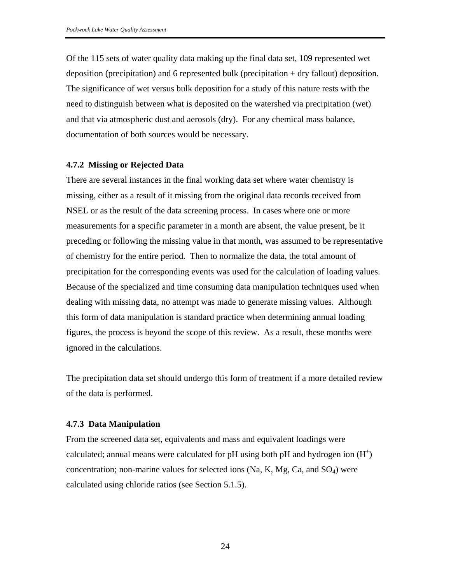Of the 115 sets of water quality data making up the final data set, 109 represented wet deposition (precipitation) and 6 represented bulk (precipitation + dry fallout) deposition. The significance of wet versus bulk deposition for a study of this nature rests with the need to distinguish between what is deposited on the watershed via precipitation (wet) and that via atmospheric dust and aerosols (dry). For any chemical mass balance, documentation of both sources would be necessary.

#### **4.7.2 Missing or Rejected Data**

There are several instances in the final working data set where water chemistry is missing, either as a result of it missing from the original data records received from NSEL or as the result of the data screening process. In cases where one or more measurements for a specific parameter in a month are absent, the value present, be it preceding or following the missing value in that month, was assumed to be representative of chemistry for the entire period. Then to normalize the data, the total amount of precipitation for the corresponding events was used for the calculation of loading values. Because of the specialized and time consuming data manipulation techniques used when dealing with missing data, no attempt was made to generate missing values. Although this form of data manipulation is standard practice when determining annual loading figures, the process is beyond the scope of this review. As a result, these months were ignored in the calculations.

The precipitation data set should undergo this form of treatment if a more detailed review of the data is performed.

#### **4.7.3 Data Manipulation**

From the screened data set, equivalents and mass and equivalent loadings were calculated; annual means were calculated for pH using both pH and hydrogen ion  $(H<sup>+</sup>)$ concentration; non-marine values for selected ions  $(Na, K, Mg, Ca, and SO<sub>4</sub>)$  were calculated using chloride ratios (see Section 5.1.5).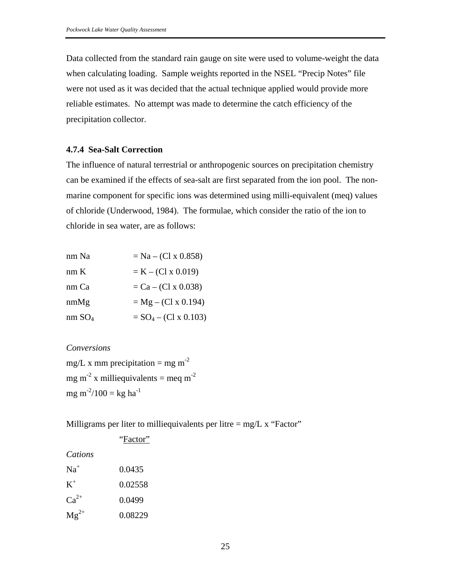Data collected from the standard rain gauge on site were used to volume-weight the data when calculating loading. Sample weights reported in the NSEL "Precip Notes" file were not used as it was decided that the actual technique applied would provide more reliable estimates. No attempt was made to determine the catch efficiency of the precipitation collector.

### **4.7.4 Sea-Salt Correction**

The influence of natural terrestrial or anthropogenic sources on precipitation chemistry can be examined if the effects of sea-salt are first separated from the ion pool. The nonmarine component for specific ions was determined using milli-equivalent (meq) values of chloride (Underwood, 1984). The formulae, which consider the ratio of the ion to chloride in sea water, are as follows:

| nm Na              | $= Na - (Cl x 0.858)$        |
|--------------------|------------------------------|
| nmK                | $= K - (Cl x 0.019)$         |
| nm Ca              | $= Ca - (Cl x 0.038)$        |
| nmMg               | $= Mg - (Cl x 0.194)$        |
| nm SO <sub>4</sub> | $= SO_4 - (Cl \times 0.103)$ |

### *Conversions*

mg/L x mm precipitation = mg m<sup>-2</sup> mg m<sup>-2</sup> x milliequivalents = meq m<sup>-2</sup> mg m<sup>-2</sup>/100 = kg ha<sup>-1</sup>

"Factor"

Milligrams per liter to milliequivalents per litre  $=$  mg/L x "Factor"

| Cations   |         |
|-----------|---------|
| $Na+$     | 0.0435  |
| $K^+$     | 0.02558 |
| $Ca^{2+}$ | 0.0499  |
| $Mg^{2+}$ | 0.08229 |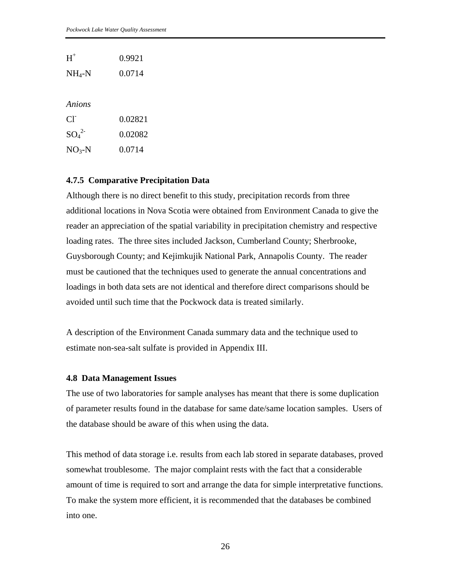| $H^+$    | 0.9921 |
|----------|--------|
| $NH_4-N$ | 0.0714 |

### *Anions*

| CF.         | 0.02821 |
|-------------|---------|
| $SO_4^{2-}$ | 0.02082 |
| $NO3-N$     | 0.0714  |

### **4.7.5 Comparative Precipitation Data**

Although there is no direct benefit to this study, precipitation records from three additional locations in Nova Scotia were obtained from Environment Canada to give the reader an appreciation of the spatial variability in precipitation chemistry and respective loading rates. The three sites included Jackson, Cumberland County; Sherbrooke, Guysborough County; and Kejimkujik National Park, Annapolis County. The reader must be cautioned that the techniques used to generate the annual concentrations and loadings in both data sets are not identical and therefore direct comparisons should be avoided until such time that the Pockwock data is treated similarly.

A description of the Environment Canada summary data and the technique used to estimate non-sea-salt sulfate is provided in Appendix III.

### **4.8 Data Management Issues**

The use of two laboratories for sample analyses has meant that there is some duplication of parameter results found in the database for same date/same location samples. Users of the database should be aware of this when using the data.

This method of data storage i.e. results from each lab stored in separate databases, proved somewhat troublesome. The major complaint rests with the fact that a considerable amount of time is required to sort and arrange the data for simple interpretative functions. To make the system more efficient, it is recommended that the databases be combined into one.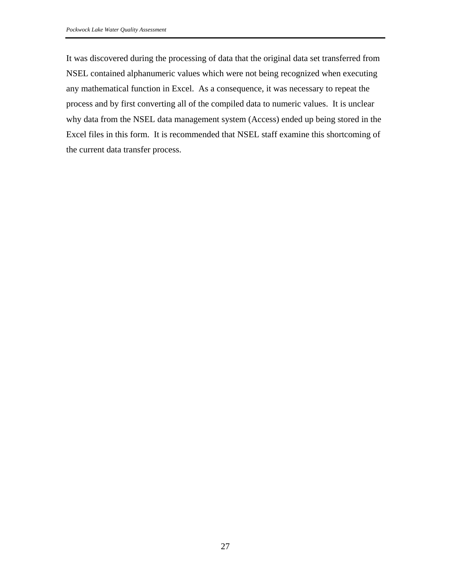It was discovered during the processing of data that the original data set transferred from NSEL contained alphanumeric values which were not being recognized when executing any mathematical function in Excel. As a consequence, it was necessary to repeat the process and by first converting all of the compiled data to numeric values. It is unclear why data from the NSEL data management system (Access) ended up being stored in the Excel files in this form. It is recommended that NSEL staff examine this shortcoming of the current data transfer process.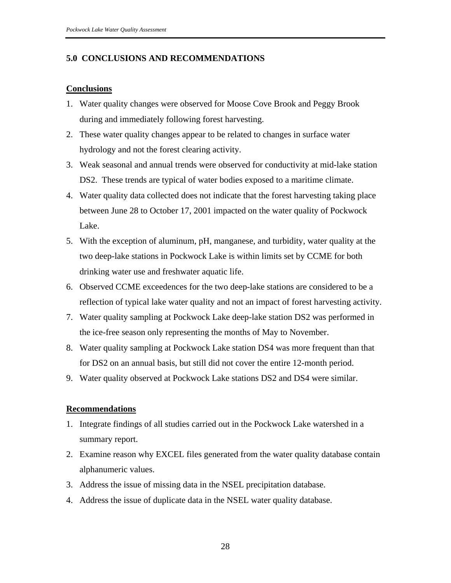### **5.0 CONCLUSIONS AND RECOMMENDATIONS**

### **Conclusions**

- 1. Water quality changes were observed for Moose Cove Brook and Peggy Brook during and immediately following forest harvesting.
- 2. These water quality changes appear to be related to changes in surface water hydrology and not the forest clearing activity.
- 3. Weak seasonal and annual trends were observed for conductivity at mid-lake station DS2. These trends are typical of water bodies exposed to a maritime climate.
- 4. Water quality data collected does not indicate that the forest harvesting taking place between June 28 to October 17, 2001 impacted on the water quality of Pockwock Lake.
- 5. With the exception of aluminum, pH, manganese, and turbidity, water quality at the two deep-lake stations in Pockwock Lake is within limits set by CCME for both drinking water use and freshwater aquatic life.
- 6. Observed CCME exceedences for the two deep-lake stations are considered to be a reflection of typical lake water quality and not an impact of forest harvesting activity.
- 7. Water quality sampling at Pockwock Lake deep-lake station DS2 was performed in the ice-free season only representing the months of May to November.
- 8. Water quality sampling at Pockwock Lake station DS4 was more frequent than that for DS2 on an annual basis, but still did not cover the entire 12-month period.
- 9. Water quality observed at Pockwock Lake stations DS2 and DS4 were similar.

### **Recommendations**

- 1. Integrate findings of all studies carried out in the Pockwock Lake watershed in a summary report.
- 2. Examine reason why EXCEL files generated from the water quality database contain alphanumeric values.
- 3. Address the issue of missing data in the NSEL precipitation database.
- 4. Address the issue of duplicate data in the NSEL water quality database.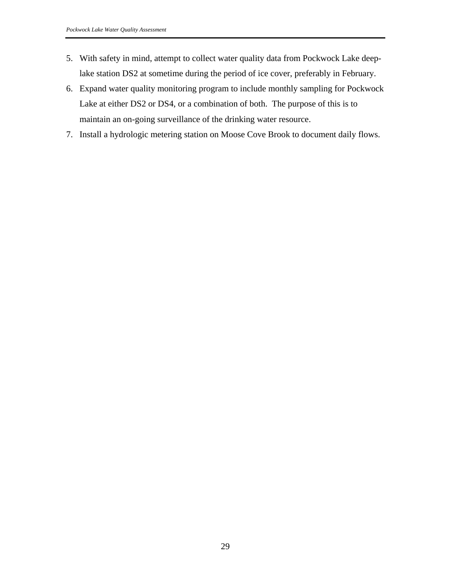- 5. With safety in mind, attempt to collect water quality data from Pockwock Lake deeplake station DS2 at sometime during the period of ice cover, preferably in February.
- 6. Expand water quality monitoring program to include monthly sampling for Pockwock Lake at either DS2 or DS4, or a combination of both. The purpose of this is to maintain an on-going surveillance of the drinking water resource.
- 7. Install a hydrologic metering station on Moose Cove Brook to document daily flows.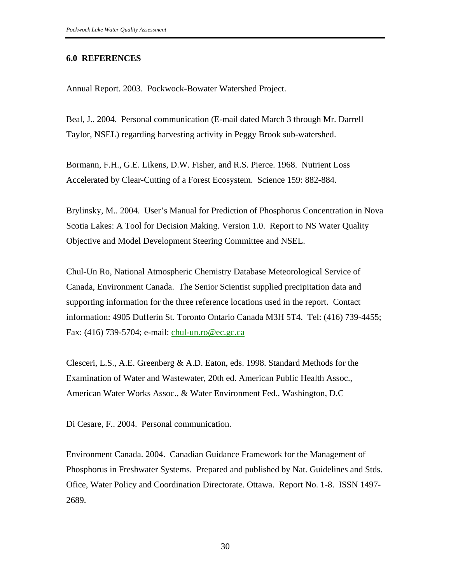#### **6.0 REFERENCES**

Annual Report. 2003. Pockwock-Bowater Watershed Project.

Beal, J.. 2004. Personal communication (E-mail dated March 3 through Mr. Darrell Taylor, NSEL) regarding harvesting activity in Peggy Brook sub-watershed.

Bormann, F.H., G.E. Likens, D.W. Fisher, and R.S. Pierce. 1968. Nutrient Loss Accelerated by Clear-Cutting of a Forest Ecosystem. Science 159: 882-884.

Brylinsky, M.. 2004. User's Manual for Prediction of Phosphorus Concentration in Nova Scotia Lakes: A Tool for Decision Making. Version 1.0. Report to NS Water Quality Objective and Model Development Steering Committee and NSEL.

Chul-Un Ro, National Atmospheric Chemistry Database Meteorological Service of Canada, Environment Canada. The Senior Scientist supplied precipitation data and supporting information for the three reference locations used in the report. Contact information: 4905 Dufferin St. Toronto Ontario Canada M3H 5T4. Tel: (416) 739-4455; Fax: (416) 739-5704; e-mail: chul-un.ro@ec.gc.ca

Clesceri, L.S., A.E. Greenberg & A.D. Eaton, eds. 1998. Standard Methods for the Examination of Water and Wastewater, 20th ed. American Public Health Assoc., American Water Works Assoc., & Water Environment Fed., Washington, D.C

Di Cesare, F.. 2004. Personal communication.

Environment Canada. 2004. Canadian Guidance Framework for the Management of Phosphorus in Freshwater Systems. Prepared and published by Nat. Guidelines and Stds. Ofice, Water Policy and Coordination Directorate. Ottawa. Report No. 1-8. ISSN 1497- 2689.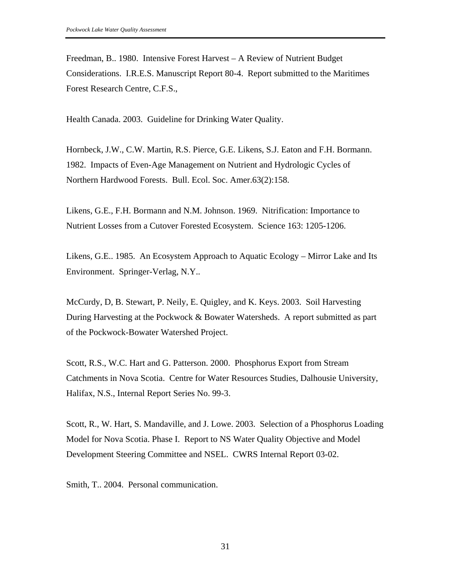Freedman, B.. 1980. Intensive Forest Harvest – A Review of Nutrient Budget Considerations. I.R.E.S. Manuscript Report 80-4. Report submitted to the Maritimes Forest Research Centre, C.F.S.,

Health Canada. 2003. Guideline for Drinking Water Quality.

Hornbeck, J.W., C.W. Martin, R.S. Pierce, G.E. Likens, S.J. Eaton and F.H. Bormann. 1982. Impacts of Even-Age Management on Nutrient and Hydrologic Cycles of Northern Hardwood Forests. Bull. Ecol. Soc. Amer.63(2):158.

Likens, G.E., F.H. Bormann and N.M. Johnson. 1969. Nitrification: Importance to Nutrient Losses from a Cutover Forested Ecosystem. Science 163: 1205-1206.

Likens, G.E.. 1985. An Ecosystem Approach to Aquatic Ecology – Mirror Lake and Its Environment. Springer-Verlag, N.Y..

McCurdy, D, B. Stewart, P. Neily, E. Quigley, and K. Keys. 2003. Soil Harvesting During Harvesting at the Pockwock & Bowater Watersheds. A report submitted as part of the Pockwock-Bowater Watershed Project.

Scott, R.S., W.C. Hart and G. Patterson. 2000. Phosphorus Export from Stream Catchments in Nova Scotia. Centre for Water Resources Studies, Dalhousie University, Halifax, N.S., Internal Report Series No. 99-3.

Scott, R., W. Hart, S. Mandaville, and J. Lowe. 2003. Selection of a Phosphorus Loading Model for Nova Scotia. Phase I. Report to NS Water Quality Objective and Model Development Steering Committee and NSEL. CWRS Internal Report 03-02.

Smith, T.. 2004. Personal communication.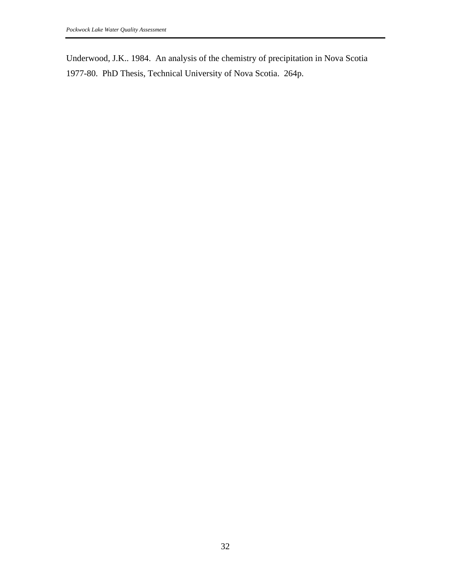Underwood, J.K.. 1984. An analysis of the chemistry of precipitation in Nova Scotia 1977-80. PhD Thesis, Technical University of Nova Scotia. 264p.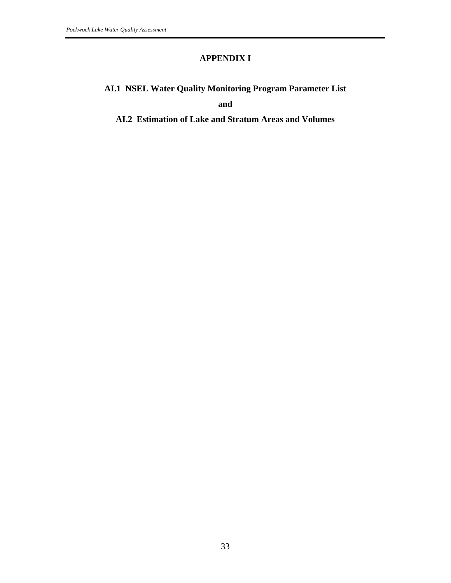## **APPENDIX I**

## **AI.1 NSEL Water Quality Monitoring Program Parameter List**

**and** 

## **AI.2 Estimation of Lake and Stratum Areas and Volumes**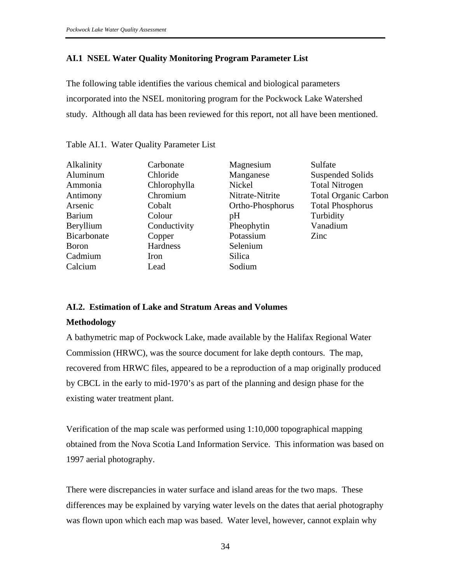### **AI.1 NSEL Water Quality Monitoring Program Parameter List**

The following table identifies the various chemical and biological parameters incorporated into the NSEL monitoring program for the Pockwock Lake Watershed study. Although all data has been reviewed for this report, not all have been mentioned.

| Carbonate    | Magnesium        | Sulfate                     |
|--------------|------------------|-----------------------------|
| Chloride     | Manganese        | Suspended Solids            |
| Chlorophylla | Nickel           | <b>Total Nitrogen</b>       |
| Chromium     | Nitrate-Nitrite  | <b>Total Organic Carbon</b> |
| Cobalt       | Ortho-Phosphorus | <b>Total Phosphorus</b>     |
| Colour       | pH               | Turbidity                   |
| Conductivity | Pheophytin       | Vanadium                    |
| Copper       | Potassium        | Zinc                        |
| Hardness     | Selenium         |                             |
| Iron         | Silica           |                             |
| Lead         | Sodium           |                             |
|              |                  |                             |

Table AI.1. Water Quality Parameter List

### **AI.2. Estimation of Lake and Stratum Areas and Volumes**

### **Methodology**

A bathymetric map of Pockwock Lake, made available by the Halifax Regional Water Commission (HRWC), was the source document for lake depth contours. The map, recovered from HRWC files, appeared to be a reproduction of a map originally produced by CBCL in the early to mid-1970's as part of the planning and design phase for the existing water treatment plant.

Verification of the map scale was performed using 1:10,000 topographical mapping obtained from the Nova Scotia Land Information Service. This information was based on 1997 aerial photography.

There were discrepancies in water surface and island areas for the two maps. These differences may be explained by varying water levels on the dates that aerial photography was flown upon which each map was based. Water level, however, cannot explain why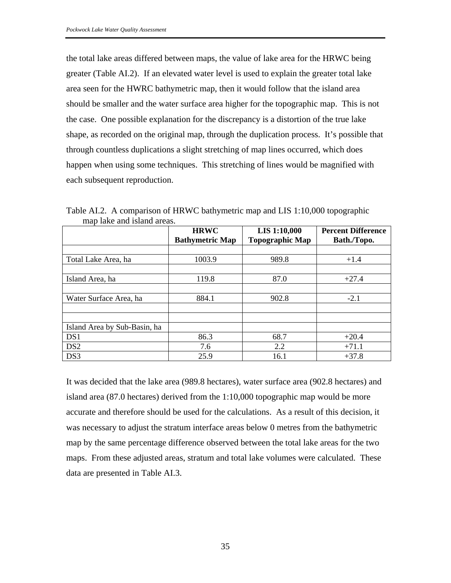the total lake areas differed between maps, the value of lake area for the HRWC being greater (Table AI.2). If an elevated water level is used to explain the greater total lake area seen for the HWRC bathymetric map, then it would follow that the island area should be smaller and the water surface area higher for the topographic map. This is not the case. One possible explanation for the discrepancy is a distortion of the true lake shape, as recorded on the original map, through the duplication process. It's possible that through countless duplications a slight stretching of map lines occurred, which does happen when using some techniques. This stretching of lines would be magnified with each subsequent reproduction.

|                              | <b>HRWC</b><br><b>Bathymetric Map</b> | <b>LIS 1:10,000</b><br><b>Topographic Map</b> | <b>Percent Difference</b><br>Bath./Topo. |
|------------------------------|---------------------------------------|-----------------------------------------------|------------------------------------------|
|                              |                                       |                                               |                                          |
| Total Lake Area, ha          | 1003.9                                | 989.8                                         | $+1.4$                                   |
|                              |                                       |                                               |                                          |
| Island Area, ha              | 119.8                                 | 87.0                                          | $+27.4$                                  |
|                              |                                       |                                               |                                          |
| Water Surface Area, ha       | 884.1                                 | 902.8                                         | $-2.1$                                   |
|                              |                                       |                                               |                                          |
|                              |                                       |                                               |                                          |
| Island Area by Sub-Basin, ha |                                       |                                               |                                          |
| DS1                          | 86.3                                  | 68.7                                          | $+20.4$                                  |
| DS <sub>2</sub>              | 7.6                                   | 2.2                                           | $+71.1$                                  |
| DS3                          | 25.9                                  | 16.1                                          | $+37.8$                                  |

Table AI.2. A comparison of HRWC bathymetric map and LIS 1:10,000 topographic map lake and island areas.

It was decided that the lake area (989.8 hectares), water surface area (902.8 hectares) and island area (87.0 hectares) derived from the 1:10,000 topographic map would be more accurate and therefore should be used for the calculations. As a result of this decision, it was necessary to adjust the stratum interface areas below 0 metres from the bathymetric map by the same percentage difference observed between the total lake areas for the two maps. From these adjusted areas, stratum and total lake volumes were calculated. These data are presented in Table AI.3.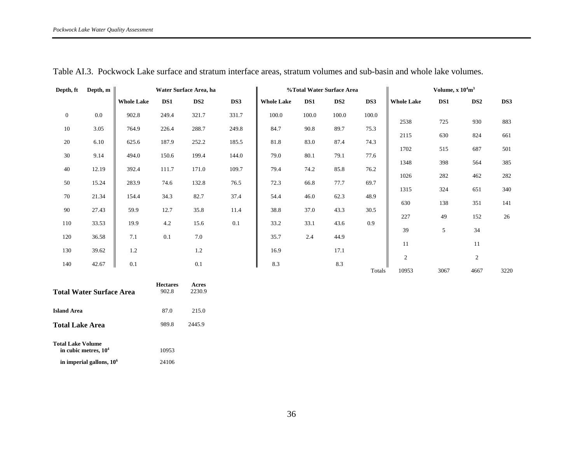| Depth, ft      | Depth, $m$ | Water Surface Area, ha |       |                 |       | %Total Water Surface Area |       |                 |        | Volume, $x 104m3$ |      |                 |      |
|----------------|------------|------------------------|-------|-----------------|-------|---------------------------|-------|-----------------|--------|-------------------|------|-----------------|------|
|                |            | <b>Whole Lake</b>      | DS1   | DS <sub>2</sub> | DS3   | <b>Whole Lake</b>         | DS1   | DS <sub>2</sub> | DS3    | <b>Whole Lake</b> | DS1  | DS <sub>2</sub> | DS3  |
| $\overline{0}$ | 0.0        | 902.8                  | 249.4 | 321.7           | 331.7 | 100.0                     | 100.0 | 100.0           | 100.0  |                   |      |                 |      |
| 10             | 3.05       | 764.9                  | 226.4 | 288.7           | 249.8 | 84.7                      | 90.8  | 89.7            | 75.3   | 2538              | 725  | 930             | 883  |
| 20             | 6.10       | 625.6                  | 187.9 | 252.2           | 185.5 | 81.8                      | 83.0  | 87.4            | 74.3   | 2115              | 630  | 824             | 661  |
| 30             | 9.14       | 494.0                  | 150.6 | 199.4           | 144.0 | 79.0                      | 80.1  | 79.1            | 77.6   | 1702              | 515  | 687             | 501  |
| 40             | 12.19      | 392.4                  | 111.7 | 171.0           | 109.7 | 79.4                      | 74.2  | 85.8            | 76.2   | 1348              | 398  | 564             | 385  |
| 50             | 15.24      | 283.9                  | 74.6  | 132.8           | 76.5  | 72.3                      | 66.8  | 77.7            | 69.7   | 1026              | 282  | 462             | 282  |
| 70             | 21.34      | 154.4                  | 34.3  | 82.7            | 37.4  | 54.4                      | 46.0  | 62.3            | 48.9   | 1315              | 324  | 651             | 340  |
| 90             | 27.43      | 59.9                   |       | 35.8            | 11.4  | 38.8                      |       |                 | 30.5   | 630               | 138  | 351             | 141  |
|                |            |                        | 12.7  |                 |       |                           | 37.0  | 43.3            |        | 227               | 49   | 152             | 26   |
| 110            | 33.53      | 19.9                   | 4.2   | 15.6            | 0.1   | 33.2                      | 33.1  | 43.6            | 0.9    | 39                | 5    | 34              |      |
| 120            | 36.58      | 7.1                    | 0.1   | 7.0             |       | 35.7                      | 2.4   | 44.9            |        | 11                |      | 11              |      |
| 130            | 39.62      | 1.2                    |       | 1.2             |       | 16.9                      |       | 17.1            |        | $\mathfrak{2}$    |      | 2               |      |
| 140            | 42.67      | 0.1                    |       | 0.1             |       | 8.3                       |       | 8.3             | Totals | 10953             | 3067 | 4667            | 3220 |

Table AI.3. Pockwock Lake surface and stratum interface areas, stratum volumes and sub-basin and whole lake volumes.

| <b>Total Water Surface Area</b>                    | <b>Hectares</b><br>902.8 | Acres<br>2230.9 |
|----------------------------------------------------|--------------------------|-----------------|
| <b>Island Area</b>                                 | 87.0                     | 215.0           |
| <b>Total Lake Area</b>                             | 989.8                    | 2445.9          |
| <b>Total Lake Volume</b><br>in cubic metres, $104$ | 10953                    |                 |
| in imperial gallons, 10 <sup>6</sup>               | 24106                    |                 |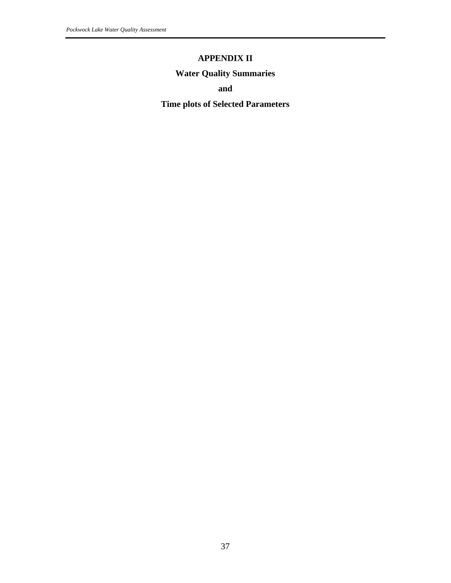## **APPENDIX II**

## **Water Quality Summaries**

**and** 

**Time plots of Selected Parameters**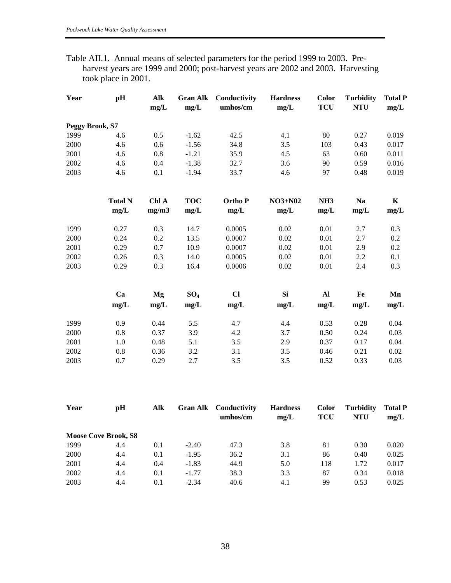| Table AII.1. Annual means of selected parameters for the period 1999 to 2003. Pre- |                     |  |  |  |                                                                                   |
|------------------------------------------------------------------------------------|---------------------|--|--|--|-----------------------------------------------------------------------------------|
|                                                                                    |                     |  |  |  | harvest years are 1999 and 2000; post-harvest years are 2002 and 2003. Harvesting |
|                                                                                    | took place in 2001. |  |  |  |                                                                                   |

| Year            | pH             | Alk<br>mg/L | <b>Gran Alk</b><br>mg/L | Conductivity<br>umhos/cm  | <b>Hardness</b><br>mg/L | Color<br><b>TCU</b> | <b>Turbidity</b><br><b>NTU</b> | <b>Total P</b><br>mg/L |
|-----------------|----------------|-------------|-------------------------|---------------------------|-------------------------|---------------------|--------------------------------|------------------------|
| Peggy Brook, S7 |                |             |                         |                           |                         |                     |                                |                        |
| 1999            | 4.6            | 0.5         | $-1.62$                 | 42.5                      | 4.1                     | 80                  | 0.27                           | 0.019                  |
| 2000            | 4.6            | 0.6         | $-1.56$                 | 34.8                      | 3.5                     | 103                 | 0.43                           | 0.017                  |
| 2001            | 4.6            | 0.8         | $-1.21$                 | 35.9                      | 4.5                     | 63                  | 0.60                           | 0.011                  |
| 2002            | 4.6            | 0.4         | $-1.38$                 | 32.7                      | 3.6                     | 90                  | 0.59                           | 0.016                  |
| 2003            | 4.6            | 0.1         | $-1.94$                 | 33.7                      | 4.6                     | 97                  | 0.48                           | 0.019                  |
|                 | <b>Total N</b> | Chl A       | <b>TOC</b>              | <b>OrthoP</b>             | <b>NO3+N02</b>          | NH <sub>3</sub>     | <b>Na</b>                      | $\mathbf K$            |
|                 | mg/L           | mg/m3       | mg/L                    | ${\bf m} {\bf g}/{\bf L}$ | mg/L                    | mg/L                | mg/L                           | mg/L                   |
| 1999            | 0.27           | 0.3         | 14.7                    | 0.0005                    | 0.02                    | 0.01                | 2.7                            | 0.3                    |
| 2000            | 0.24           | 0.2         | 13.5                    | 0.0007                    | 0.02                    | 0.01                | 2.7                            | 0.2                    |
| 2001            | 0.29           | 0.7         | 10.9                    | 0.0007                    | 0.02                    | 0.01                | 2.9                            | 0.2                    |
| 2002            | 0.26           | 0.3         | 14.0                    | 0.0005                    | 0.02                    | 0.01                | 2.2                            | 0.1                    |
| 2003            | 0.29           | 0.3         | 16.4                    | 0.0006                    | 0.02                    | 0.01                | 2.4                            | 0.3                    |
|                 | Ca             | Mg          | SO <sub>4</sub>         | $CI$                      | <b>Si</b>               | Al                  | Fe                             | Mn                     |
|                 | $\rm mg/L$     | mg/L        | mg/L                    | mg/L                      | mg/L                    | mg/L                | mg/L                           | mg/L                   |
| 1999            | 0.9            | 0.44        | 5.5                     | 4.7                       | 4.4                     | 0.53                | 0.28                           | 0.04                   |
| 2000            | 0.8            | 0.37        | 3.9                     | 4.2                       | 3.7                     | 0.50                | 0.24                           | 0.03                   |
| 2001            | 1.0            | 0.48        | 5.1                     | 3.5                       | 2.9                     | 0.37                | 0.17                           | 0.04                   |
| 2002            | 0.8            | 0.36        | 3.2                     | 3.1                       | 3.5                     | 0.46                | 0.21                           | 0.02                   |
| 2003            | 0.7            | 0.29        | 2.7                     | 3.5                       | 3.5                     | 0.52                | 0.33                           | 0.03                   |

| Year | pH                          | <b>Alk</b> |         | <b>Gran Alk</b> Conductivity<br>umhos/cm | <b>Hardness</b><br>mg/L | <b>Color</b><br><b>TCU</b> | <b>Turbidity</b><br><b>NTU</b> | <b>Total P</b><br>mg/L |
|------|-----------------------------|------------|---------|------------------------------------------|-------------------------|----------------------------|--------------------------------|------------------------|
|      | <b>Moose Cove Brook, S8</b> |            |         |                                          |                         |                            |                                |                        |
| 1999 | 4.4                         | 0.1        | $-2.40$ | 47.3                                     | 3.8                     | 81                         | 0.30                           | 0.020                  |
| 2000 | 4.4                         | 0.1        | $-1.95$ | 36.2                                     | 3.1                     | 86                         | 0.40                           | 0.025                  |
| 2001 | 4.4                         | 0.4        | $-1.83$ | 44.9                                     | 5.0                     | 118                        | 1.72                           | 0.017                  |
| 2002 | 4.4                         | 0.1        | $-1.77$ | 38.3                                     | 3.3                     | 87                         | 0.34                           | 0.018                  |
| 2003 | 4.4                         | 0.1        | $-2.34$ | 40.6                                     | 4.1                     | 99                         | 0.53                           | 0.025                  |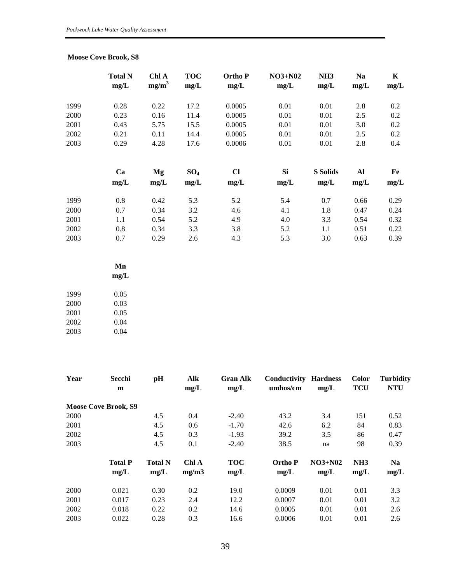### **Moose Cove Brook, S8**

|      | <b>Total N</b><br>mg/L | Chl A<br>$mg/m^3$ | <b>TOC</b><br>mg/L | <b>Ortho</b> P<br>mg/L | $NO3+N02$<br>mg/L | NH <sub>3</sub><br>mg/L | <b>Na</b><br>mg/L | $\mathbf K$<br>mg/L |
|------|------------------------|-------------------|--------------------|------------------------|-------------------|-------------------------|-------------------|---------------------|
| 1999 | 0.28                   | 0.22              | 17.2               | 0.0005                 | 0.01              | 0.01                    | 2.8               | 0.2                 |
| 2000 | 0.23                   | 0.16              | 11.4               | 0.0005                 | 0.01              | 0.01                    | 2.5               | 0.2                 |
| 2001 | 0.43                   | 5.75              | 15.5               | 0.0005                 | 0.01              | 0.01                    | 3.0               | 0.2                 |
| 2002 | 0.21                   | 0.11              | 14.4               | 0.0005                 | 0.01              | 0.01                    | 2.5               | 0.2                 |
| 2003 | 0.29                   | 4.28              | 17.6               | 0.0006                 | 0.01              | 0.01                    | 2.8               | 0.4                 |
|      | Ca                     | Mg                | SO <sub>4</sub>    | $CI$                   | Si                | <b>S</b> Solids         | Al                | Fe                  |
|      | mg/L                   | mg/L              | mg/L               | mg/L                   | mg/L              | mg/L                    | mg/L              | mg/L                |
| 1999 | 0.8                    | 0.42              | 5.3                | 5.2                    | 5.4               | 0.7                     | 0.66              | 0.29                |
| 2000 | 0.7                    | 0.34              | 3.2                | 4.6                    | 4.1               | 1.8                     | 0.47              | 0.24                |
| 2001 | 1.1                    | 0.54              | 5.2                | 4.9                    | 4.0               | 3.3                     | 0.54              | 0.32                |
| 2002 | 0.8                    | 0.34              | 3.3                | 3.8                    | 5.2               | 1.1                     | 0.51              | 0.22                |
| 2003 | 0.7                    | 0.29              | 2.6                | 4.3                    | 5.3               | 3.0                     | 0.63              | 0.39                |

|      | Mn   |
|------|------|
|      | mg/L |
|      |      |
| 1999 | 0.05 |
| 2000 | 0.03 |
| 2001 | 0.05 |
| 2002 | 0.04 |
| 2003 | 0.04 |

| Year | Secchi<br>m                 | pH                     | Alk<br>mg/L    | <b>Gran Alk</b><br>mg/L | Conductivity<br>umhos/cm | <b>Hardness</b><br>mg/L | <b>Color</b><br><b>TCU</b> | <b>Turbidity</b><br><b>NTU</b> |
|------|-----------------------------|------------------------|----------------|-------------------------|--------------------------|-------------------------|----------------------------|--------------------------------|
|      | <b>Moose Cove Brook, S9</b> |                        |                |                         |                          |                         |                            |                                |
| 2000 |                             | 4.5                    | 0.4            | $-2.40$                 | 43.2                     | 3.4                     | 151                        | 0.52                           |
| 2001 |                             | 4.5                    | 0.6            | $-1.70$                 | 42.6                     | 6.2                     | 84                         | 0.83                           |
| 2002 |                             | 4.5                    | 0.3            | $-1.93$                 | 39.2                     | 3.5                     | 86                         | 0.47                           |
| 2003 |                             | 4.5                    | 0.1            | $-2.40$                 | 38.5                     | na                      | 98                         | 0.39                           |
|      | <b>Total P</b><br>mg/L      | <b>Total N</b><br>mg/L | Chl A<br>mg/m3 | <b>TOC</b><br>mg/L      | <b>Ortho</b> P<br>mg/L   | $NO3+N02$<br>mg/L       | NH <sub>3</sub><br>mg/L    | <b>Na</b><br>mg/L              |
| 2000 | 0.021                       | 0.30                   | 0.2            | 19.0                    | 0.0009                   | 0.01                    | 0.01                       | 3.3                            |
| 2001 | 0.017                       | 0.23                   | 2.4            | 12.2                    | 0.0007                   | 0.01                    | 0.01                       | 3.2                            |
| 2002 | 0.018                       | 0.22                   | 0.2            | 14.6                    | 0.0005                   | 0.01                    | 0.01                       | 2.6                            |
| 2003 | 0.022                       | 0.28                   | 0.3            | 16.6                    | 0.0006                   | 0.01                    | 0.01                       | 2.6                            |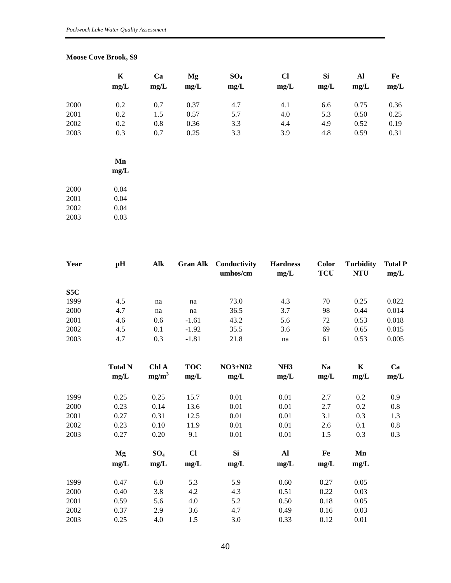#### **Moose Cove Brook, S9**

|      | $\mathbf K$ | Ca   | Mg   | $SO_4$ | $CI$ | <b>Si</b> | Al   | Fe   |
|------|-------------|------|------|--------|------|-----------|------|------|
|      | mg/L        | mg/L | mg/L | mg/L   | mg/L | mg/L      | mg/L | mg/L |
| 2000 | 0.2         | 0.7  | 0.37 | 4.7    | 4.1  | 6.6       | 0.75 | 0.36 |
| 2001 | 0.2         | 1.5  | 0.57 | 5.7    | 4.0  | 5.3       | 0.50 | 0.25 |
| 2002 | 0.2         | 0.8  | 0.36 | 3.3    | 4.4  | 4.9       | 0.52 | 0.19 |
| 2003 | 0.3         | 0.7  | 0.25 | 3.3    | 3.9  | 4.8       | 0.59 | 0.31 |
|      | Mn<br>mg/L  |      |      |        |      |           |      |      |
| 2000 | 0.04        |      |      |        |      |           |      |      |

| 2001 | 0.04 |
|------|------|
| 2002 | 0.04 |
| 2003 | 0.03 |

| Year | pH                    | Alk                        |                   | <b>Gran Alk</b> Conductivity<br>umhos/cm | <b>Hardness</b><br>mg/L             | <b>Color</b><br><b>TCU</b>  | <b>Turbidity</b><br><b>NTU</b> | <b>Total P</b><br>mg/L |
|------|-----------------------|----------------------------|-------------------|------------------------------------------|-------------------------------------|-----------------------------|--------------------------------|------------------------|
| S5C  |                       |                            |                   |                                          |                                     |                             |                                |                        |
| 1999 | 4.5                   | na                         | na                | 73.0                                     | 4.3                                 | 70                          | 0.25                           | 0.022                  |
| 2000 | 4.7                   | na                         | na                | 36.5                                     | 3.7                                 | 98                          | 0.44                           | 0.014                  |
| 2001 | 4.6                   | 0.6                        | $-1.61$           | 43.2                                     | 5.6                                 | 72                          | 0.53                           | 0.018                  |
| 2002 | 4.5                   | 0.1                        | $-1.92$           | 35.5                                     | 3.6                                 | 69                          | 0.65                           | 0.015                  |
| 2003 | 4.7                   | 0.3                        | $-1.81$           | 21.8                                     | na                                  | 61                          | 0.53                           | 0.005                  |
|      | <b>Total N</b><br>maH | Chl A<br>ma/m <sup>3</sup> | <b>TOC</b><br>maH | $NO3+NO2$<br>m <sub>0</sub>              | NH <sub>3</sub><br>$maa/\mathbf{T}$ | <b>Na</b><br>m <sub>0</sub> | K<br>maH                       | Ca<br>$maa/\mathbf{T}$ |

|      | mg/L | mg/m <sup>3</sup> | mg/L | mg/L      | mg/L | mg/L | mg/L | mg/L |
|------|------|-------------------|------|-----------|------|------|------|------|
| 1999 | 0.25 | 0.25              | 15.7 | 0.01      | 0.01 | 2.7  | 0.2  | 0.9  |
| 2000 | 0.23 | 0.14              | 13.6 | 0.01      | 0.01 | 2.7  | 0.2  | 0.8  |
| 2001 | 0.27 | 0.31              | 12.5 | 0.01      | 0.01 | 3.1  | 0.3  | 1.3  |
| 2002 | 0.23 | 0.10              | 11.9 | 0.01      | 0.01 | 2.6  | 0.1  | 0.8  |
| 2003 | 0.27 | 0.20              | 9.1  | 0.01      | 0.01 | 1.5  | 0.3  | 0.3  |
|      | Mg   | SO <sub>4</sub>   | $CI$ | <b>Si</b> | Al   | Fe   | Mn   |      |
|      | mg/L | mg/L              | mg/L | mg/L      | mg/L | mg/L | mg/L |      |
| 1999 | 0.47 | 6.0               | 5.3  | 5.9       | 0.60 | 0.27 | 0.05 |      |
| 2000 | 0.40 | 3.8               | 4.2  | 4.3       | 0.51 | 0.22 | 0.03 |      |
| 2001 | 0.59 | 5.6               | 4.0  | 5.2       | 0.50 | 0.18 | 0.05 |      |
| 2002 | 0.37 | 2.9               | 3.6  | 4.7       | 0.49 | 0.16 | 0.03 |      |
| 2003 | 0.25 | 4.0               | 1.5  | 3.0       | 0.33 | 0.12 | 0.01 |      |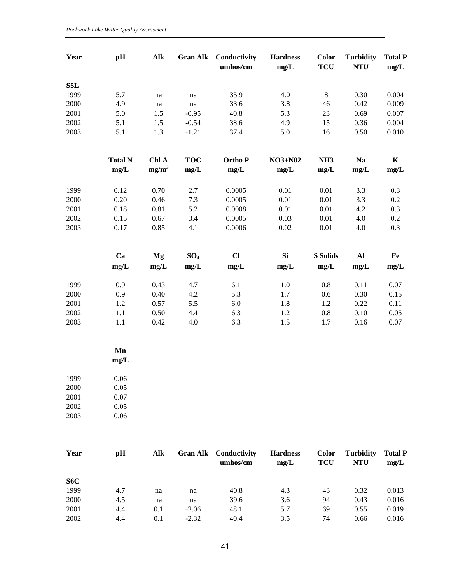*Pockwock Lake Water Quality Assessment* 

| Year | pH             | Alk                 | <b>Gran Alk</b>     | Conductivity<br>umhos/cm | <b>Hardness</b><br>mg/L | <b>Color</b><br><b>TCU</b> | <b>Turbidity</b><br><b>NTU</b> | <b>Total P</b><br>mg/L |
|------|----------------|---------------------|---------------------|--------------------------|-------------------------|----------------------------|--------------------------------|------------------------|
| S5L  |                |                     |                     |                          |                         |                            |                                |                        |
| 1999 | 5.7            | $\operatorname{na}$ | na                  | 35.9                     | 4.0                     | $8\,$                      | 0.30                           | 0.004                  |
| 2000 | 4.9            | $\operatorname{na}$ | $\operatorname{na}$ | 33.6                     | 3.8                     | 46                         | 0.42                           | 0.009                  |
| 2001 | 5.0            | 1.5                 | $-0.95$             | 40.8                     | 5.3                     | 23                         | 0.69                           | 0.007                  |
| 2002 | 5.1            | 1.5                 | $-0.54$             | 38.6                     | 4.9                     | 15                         | 0.36                           | 0.004                  |
| 2003 | 5.1            | 1.3                 | $-1.21$             | 37.4                     | 5.0                     | 16                         | 0.50                           | 0.010                  |
|      | <b>Total N</b> | Chl A               | <b>TOC</b>          | Ortho P                  | <b>NO3+N02</b>          | NH <sub>3</sub>            | <b>Na</b>                      | $\mathbf K$            |
|      | mg/L           | $mg/m^3$            | mg/L                | mg/L                     | mg/L                    | mg/L                       | mg/L                           | mg/L                   |
| 1999 | 0.12           | 0.70                | 2.7                 | 0.0005                   | $0.01\,$                | 0.01                       | 3.3                            | 0.3                    |
| 2000 | 0.20           | 0.46                | 7.3                 | 0.0005                   | 0.01                    | 0.01                       | 3.3                            | $0.2\,$                |
| 2001 | 0.18           | 0.81                | 5.2                 | 0.0008                   | $0.01\,$                | 0.01                       | 4.2                            | 0.3                    |
| 2002 | 0.15           | 0.67                | 3.4                 | 0.0005                   | 0.03                    | 0.01                       | 4.0                            | 0.2                    |
| 2003 | 0.17           | 0.85                | 4.1                 | 0.0006                   | 0.02                    | 0.01                       | 4.0                            | 0.3                    |
|      | Ca             | <b>Mg</b>           | $SO_4$              | $CI$                     | <b>Si</b>               | <b>S</b> Solids            | $\mathbf{A}$                   | Fe                     |
|      | mg/L           | mg/L                | mg/L                | mg/L                     | mg/L                    | mg/L                       | mg/L                           | mg/L                   |
| 1999 | 0.9            | 0.43                | 4.7                 | 6.1                      | $1.0\,$                 | $0.8\,$                    | 0.11                           | $0.07\,$               |
| 2000 | 0.9            | 0.40                | 4.2                 | 5.3                      | 1.7                     | 0.6                        | 0.30                           | 0.15                   |
| 2001 | 1.2            | 0.57                | 5.5                 | $6.0\,$                  | 1.8                     | 1.2                        | 0.22                           | 0.11                   |
| 2002 | 1.1            | 0.50                | 4.4                 | 6.3                      | 1.2                     | $0.8\,$                    | 0.10                           | 0.05                   |
| 2003 | 1.1            | 0.42                | 4.0                 | 6.3                      | 1.5                     | 1.7                        | 0.16                           | 0.07                   |
|      | Mn<br>mg/L     |                     |                     |                          |                         |                            |                                |                        |
| 1999 | $0.06\,$       |                     |                     |                          |                         |                            |                                |                        |
| 2000 | 0.05           |                     |                     |                          |                         |                            |                                |                        |
| 2001 | 0.07           |                     |                     |                          |                         |                            |                                |                        |
| 2002 | 0.05           |                     |                     |                          |                         |                            |                                |                        |
| 2003 | 0.06           |                     |                     |                          |                         |                            |                                |                        |
| Year | pH             | Alk                 | <b>Gran Alk</b>     | Conductivity             | <b>Hardness</b>         | <b>Color</b>               | <b>Turbidity</b>               | <b>Total P</b>         |

|      |     |     |         | umhos/cm | mg/L | <b>TCU</b> | <b>NTU</b> | mg/L  |
|------|-----|-----|---------|----------|------|------------|------------|-------|
| S6C  |     |     |         |          |      |            |            |       |
| 1999 | 4.7 | na  | na      | 40.8     | 4.3  | 43         | 0.32       | 0.013 |
| 2000 | 4.5 | na  | na      | 39.6     | 3.6  | 94         | 0.43       | 0.016 |
| 2001 | 4.4 | 0.1 | $-2.06$ | 48.1     | 5.7  | 69         | 0.55       | 0.019 |
| 2002 | 4.4 | 0.1 | $-2.32$ | 40.4     | 3.5  | 74         | 0.66       | 0.016 |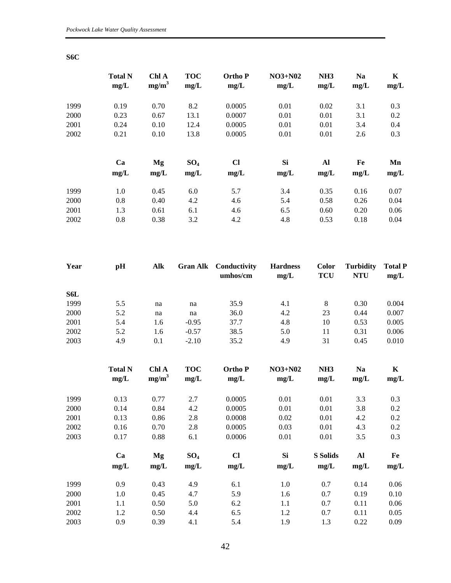|      | <b>Total N</b><br>mg/L | Chl A<br>mg/m <sup>3</sup> | <b>TOC</b><br>mg/L | <b>OrthoP</b><br>mg/L | $NO3+NO2$<br>mg/L | NH <sub>3</sub><br>mg/L | <b>Na</b><br>mg/L | K<br>mg/L |
|------|------------------------|----------------------------|--------------------|-----------------------|-------------------|-------------------------|-------------------|-----------|
| 1999 | 0.19                   | 0.70                       | 8.2                | 0.0005                | 0.01              | 0.02                    | 3.1               | 0.3       |
| 2000 | 0.23                   | 0.67                       | 13.1               | 0.0007                | 0.01              | 0.01                    | 3.1               | 0.2       |
| 2001 | 0.24                   | 0.10                       | 12.4               | 0.0005                | 0.01              | 0.01                    | 3.4               | 0.4       |
| 2002 | 0.21                   | 0.10                       | 13.8               | 0.0005                | 0.01              | 0.01                    | 2.6               | 0.3       |
|      | Ca                     | Mg                         | SO <sub>4</sub>    | $CI$                  | <b>Si</b>         | Al                      | Fe                | Mn        |
|      | mg/L                   | mg/L                       | mg/L               | mg/L                  | mg/L              | mg/L                    | mg/L              | mg/L      |
| 1999 | 1.0                    | 0.45                       | 6.0                | 5.7                   | 3.4               | 0.35                    | 0.16              | 0.07      |
| 2000 | 0.8                    | 0.40                       | 4.2                | 4.6                   | 5.4               | 0.58                    | 0.26              | 0.04      |
| 2001 | 1.3                    | 0.61                       | 6.1                | 4.6                   | 6.5               | 0.60                    | 0.20              | 0.06      |
| 2002 | 0.8                    | 0.38                       | 3.2                | 4.2                   | 4.8               | 0.53                    | 0.18              | 0.04      |

| Year | pH  | Alk |         | <b>Gran Alk</b> Conductivity<br>umhos/cm | <b>Hardness</b><br>mg/L | <b>Color</b><br><b>TCU</b> | <b>Turbidity</b><br><b>NTU</b> | <b>Total P</b><br>mg/L |  |
|------|-----|-----|---------|------------------------------------------|-------------------------|----------------------------|--------------------------------|------------------------|--|
| S6L  |     |     |         |                                          |                         |                            |                                |                        |  |
| 1999 | 5.5 | na  | na      | 35.9                                     | 4.1                     | 8                          | 0.30                           | 0.004                  |  |
| 2000 | 5.2 | na  | na      | 36.0                                     | 4.2                     | 23                         | 0.44                           | 0.007                  |  |
| 2001 | 5.4 | 1.6 | $-0.95$ | 37.7                                     | 4.8                     | 10                         | 0.53                           | 0.005                  |  |
| 2002 | 5.2 | 1.6 | $-0.57$ | 38.5                                     | 5.0                     | 11                         | 0.31                           | 0.006                  |  |
| 2003 | 4.9 | 0.1 | $-2.10$ | 35.2                                     | 4.9                     | 31                         | 0.45                           | 0.010                  |  |

|      | <b>Total N</b><br>mg/L | Chl A<br>$mg/m^3$ | <b>TOC</b><br>mg/L | <b>Ortho</b> P<br>mg/L | $NO3+N02$<br>mg/L | NH <sub>3</sub><br>mg/L | <b>Na</b><br>mg/L | K<br>mg/L |
|------|------------------------|-------------------|--------------------|------------------------|-------------------|-------------------------|-------------------|-----------|
|      |                        |                   |                    |                        |                   |                         |                   |           |
| 1999 | 0.13                   | 0.77              | 2.7                | 0.0005                 | 0.01              | 0.01                    | 3.3               | 0.3       |
| 2000 | 0.14                   | 0.84              | 4.2                | 0.0005                 | 0.01              | 0.01                    | 3.8               | 0.2       |
| 2001 | 0.13                   | 0.86              | 2.8                | 0.0008                 | 0.02              | 0.01                    | 4.2               | 0.2       |
| 2002 | 0.16                   | 0.70              | 2.8                | 0.0005                 | 0.03              | 0.01                    | 4.3               | 0.2       |
| 2003 | 0.17                   | 0.88              | 6.1                | 0.0006                 | 0.01              | 0.01                    | 3.5               | 0.3       |
|      | Ca                     | Mg                | SO <sub>4</sub>    | $CI$                   | Si                | <b>S</b> Solids         | Al                | Fe        |
|      | mg/L                   | mg/L              | mg/L               | mg/L                   | mg/L              | mg/L                    | mg/L              | mg/L      |
| 1999 | 0.9                    | 0.43              | 4.9                | 6.1                    | 1.0               | 0.7                     | 0.14              | 0.06      |
| 2000 | 1.0                    | 0.45              | 4.7                | 5.9                    | 1.6               | 0.7                     | 0.19              | 0.10      |
| 2001 | 1.1                    | 0.50              | 5.0                | 6.2                    | 1.1               | 0.7                     | 0.11              | 0.06      |
| 2002 | 1.2                    | 0.50              | 4.4                | 6.5                    | 1.2               | 0.7                     | 0.11              | 0.05      |
| 2003 | 0.9                    | 0.39              | 4.1                | 5.4                    | 1.9               | 1.3                     | 0.22              | 0.09      |

**S6C**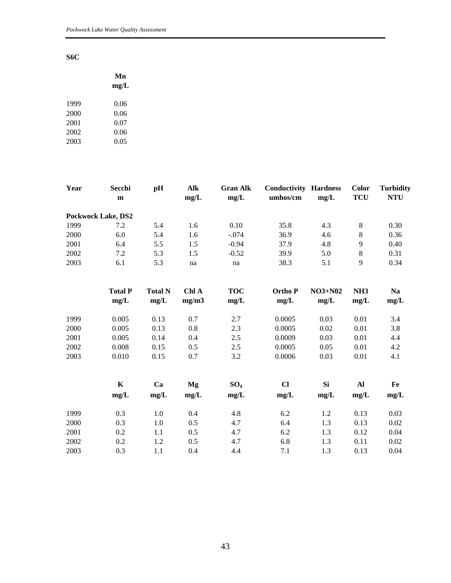#### **S6C**

|      | Mn   |
|------|------|
|      | mg/L |
| 1999 | 0.06 |
| 2000 | 0.06 |
| 2001 | 0.07 |
| 2002 | 0.06 |
| 2003 | 0.05 |
|      |      |

| Year | Secchi<br>$\mathbf{m}$    | pH             | Alk<br>mg/L | <b>Gran Alk</b><br>mg/L | <b>Conductivity Hardness</b><br>umhos/cm | mg/L    | <b>Color</b><br><b>TCU</b> | <b>Turbidity</b><br><b>NTU</b> |
|------|---------------------------|----------------|-------------|-------------------------|------------------------------------------|---------|----------------------------|--------------------------------|
|      | <b>Pockwock Lake, DS2</b> |                |             |                         |                                          |         |                            |                                |
| 1999 | 7.2                       | 5.4            | 1.6         | 0.10                    | 35.8                                     | 4.3     | $\,8\,$                    | 0.30                           |
| 2000 | 6.0                       | 5.4            | 1.6         | $-.074$                 | 36.9                                     | 4.6     | $\,8\,$                    | 0.36                           |
| 2001 | 6.4                       | 5.5            | 1.5         | $-0.94$                 | 37.9                                     | 4.8     | $\overline{9}$             | 0.40                           |
| 2002 | 7.2                       | 5.3            | 1.5         | $-0.52$                 | 39.9                                     | 5.0     | $\,8\,$                    | 0.31                           |
| 2003 | 6.1                       | 5.3            | na          | na                      | 38.3                                     | 5.1     | 9                          | 0.34                           |
|      | <b>Total P</b>            | <b>Total N</b> | Chl A       | <b>TOC</b>              | <b>OrthoP</b>                            | NO3+N02 | NH <sub>3</sub>            | <b>Na</b>                      |
|      | mg/L                      | mg/L           | mg/m3       | mg/L                    | mg/L                                     | mg/L    | mg/L                       | mg/L                           |
| 1999 | 0.005                     | 0.13           | 0.7         | 2.7                     | 0.0005                                   | 0.03    | 0.01                       | 3.4                            |
| 2000 | 0.005                     | 0.13           | 0.8         | 2.3                     | 0.0005                                   | 0.02    | 0.01                       | 3.8                            |
| 2001 | 0.005                     | 0.14           | 0.4         | 2.5                     | 0.0009                                   | 0.03    | 0.01                       | 4.4                            |
| 2002 | 0.008                     | 0.15           | 0.5         | 2.5                     | 0.0005                                   | 0.05    | 0.01                       | 4.2                            |
| 2003 | 0.010                     | 0.15           | 0.7         | 3.2                     | 0.0006                                   | 0.03    | 0.01                       | 4.1                            |
|      | $\mathbf K$               | Ca             | Mg          | SO <sub>4</sub>         | $CI$                                     | Si      | Al                         | Fe                             |
|      | mg/L                      | mg/L           | mg/L        | mg/L                    | mg/L                                     | mg/L    | mg/L                       | mg/L                           |
| 1999 | 0.3                       | 1.0            | 0.4         | 4.8                     | 6.2                                      | 1.2     | 0.13                       | 0.03                           |
| 2000 | 0.3                       | 1.0            | 0.5         | 4.7                     | 6.4                                      | 1.3     | 0.13                       | 0.02                           |
| 2001 | 0.2                       | 1.1            | 0.5         | 4.7                     | 6.2                                      | 1.3     | 0.12                       | 0.04                           |
| 2002 | 0.2                       | 1.2            | 0.5         | 4.7                     | 6.8                                      | 1.3     | 0.11                       | 0.02                           |

2003 0.3 1.1 0.4 4.4 7.1 1.3 0.13 0.04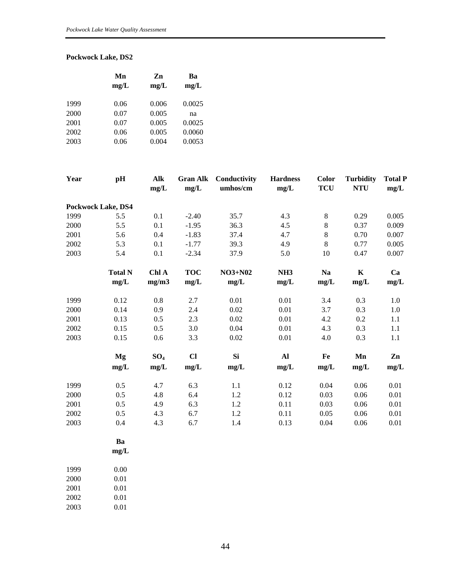#### **Pockwock Lake, DS2**

|      | Mn<br>mg/L | Zn<br>mg/L | Ba<br>mg/L |  |  |
|------|------------|------------|------------|--|--|
| 1999 | 0.06       | 0.006      | 0.0025     |  |  |
| 2000 | 0.07       | 0.005      | na         |  |  |
| 2001 | 0.07       | 0.005      | 0.0025     |  |  |
| 2002 | 0.06       | 0.005      | 0.0060     |  |  |
| 2003 | 0.06       | 0.004      | 0.0053     |  |  |
|      |            |            |            |  |  |

| Year | pH                 | Alk<br>mg/L | <b>Gran Alk</b><br>mg/L | Conductivity<br>umhos/cm | <b>Hardness</b><br>mg/L | <b>Color</b><br><b>TCU</b> | <b>Turbidity</b><br><b>NTU</b> | <b>Total P</b><br>mg/L |  |
|------|--------------------|-------------|-------------------------|--------------------------|-------------------------|----------------------------|--------------------------------|------------------------|--|
|      | Pockwock Lake, DS4 |             |                         |                          |                         |                            |                                |                        |  |
| 1999 | 5.5                | 0.1         | $-2.40$                 | 35.7                     | 4.3                     | $8\,$                      | 0.29                           | 0.005                  |  |
| 2000 | 5.5                | 0.1         | $-1.95$                 | 36.3                     | 4.5                     | 8                          | 0.37                           | 0.009                  |  |
| 2001 | 5.6                | 0.4         | $-1.83$                 | 37.4                     | 4.7                     | $8\,$                      | 0.70                           | 0.007                  |  |
| 2002 | 5.3                | 0.1         | $-1.77$                 | 39.3                     | 4.9                     | 8                          | 0.77                           | 0.005                  |  |
| 2003 | 5.4                | 0.1         | $-2.34$                 | 37.9                     | 5.0                     | 10                         | 0.47                           | 0.007                  |  |
|      | <b>Total N</b>     | Chl A       | <b>TOC</b>              | $NO3+N02$                | NH <sub>3</sub>         | <b>Na</b>                  | $\mathbf K$                    | Ca                     |  |
|      | mg/L               | mg/m3       | mg/L                    | mg/L                     | mg/L                    | mg/L                       | mg/L                           | mg/L                   |  |
| 1999 | 0.12               | 0.8         | 2.7                     | 0.01                     | 0.01                    | 3.4                        | 0.3                            | 1.0                    |  |
| 2000 | 0.14               | 0.9         | 2.4                     | 0.02                     | 0.01                    | 3.7                        | 0.3                            | $1.0\,$                |  |
| 2001 | 0.13               | 0.5         | 2.3                     | 0.02                     | 0.01                    | 4.2                        | 0.2                            | 1.1                    |  |
| 2002 | 0.15               | 0.5         | 3.0                     | 0.04                     | 0.01                    | 4.3                        | 0.3                            | 1.1                    |  |
| 2003 | 0.15               | 0.6         | 3.3                     | 0.02                     | 0.01                    | 4.0                        | 0.3                            | 1.1                    |  |
|      | Mg                 | $SO_4$      | $CI$                    | <b>Si</b>                | Al                      | Fe                         | Mn                             | Zn                     |  |
|      | mg/L               | mg/L        | mg/L                    | mg/L                     | mg/L                    | mg/L                       | mg/L                           | mg/L                   |  |
| 1999 | 0.5                | 4.7         | 6.3                     | 1.1                      | 0.12                    | 0.04                       | 0.06                           | 0.01                   |  |
| 2000 | 0.5                | 4.8         | 6.4                     | 1.2                      | 0.12                    | 0.03                       | 0.06                           | 0.01                   |  |
| 2001 | 0.5                | 4.9         | 6.3                     | 1.2                      | 0.11                    | 0.03                       | 0.06                           | 0.01                   |  |
| 2002 | 0.5                | 4.3         | 6.7                     | 1.2                      | 0.11                    | 0.05                       | 0.06                           | 0.01                   |  |
| 2003 | 0.4                | 4.3         | 6.7                     | 1.4                      | 0.13                    | 0.04                       | 0.06                           | 0.01                   |  |

 **Ba mg/L** 

| 1999 | 0.00 |
|------|------|
| 2000 | 0.01 |
| 2001 | 0.01 |
| 2002 | 0.01 |
| 2003 | 0.01 |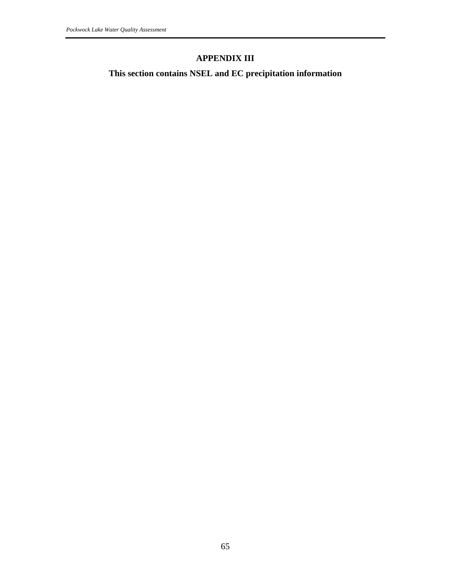## **APPENDIX III**

**This section contains NSEL and EC precipitation information**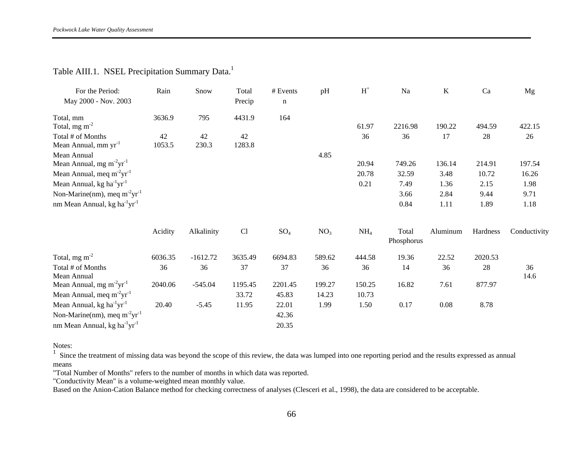| For the Period:<br>May 2000 - Nov. 2003                         | Rain         | Snow        | Total<br>Precip | # Events<br>$\mathbf n$ | pH              | $H^+$           | Na                  | $\bf K$        | Ca              | Mg              |
|-----------------------------------------------------------------|--------------|-------------|-----------------|-------------------------|-----------------|-----------------|---------------------|----------------|-----------------|-----------------|
|                                                                 |              |             |                 |                         |                 |                 |                     |                |                 |                 |
| Total, mm<br>Total, mg m <sup>-2</sup>                          | 3636.9       | 795         | 4431.9          | 164                     |                 | 61.97           | 2216.98             | 190.22         | 494.59          | 422.15          |
| Total # of Months<br>Mean Annual, mm yr <sup>-1</sup>           | 42<br>1053.5 | 42<br>230.3 | 42<br>1283.8    |                         |                 | 36              | 36                  | 17             | 28              | 26              |
| Mean Annual<br>Mean Annual, mg m <sup>-2</sup> yr <sup>-1</sup> |              |             |                 |                         | 4.85            |                 |                     |                |                 |                 |
| Mean Annual, meq $m^2yr^{-1}$                                   |              |             |                 |                         |                 | 20.94<br>20.78  | 749.26<br>32.59     | 136.14<br>3.48 | 214.91<br>10.72 | 197.54<br>16.26 |
| Mean Annual, kg ha $^{-1}yr^{-1}$                               |              |             |                 |                         |                 | 0.21            | 7.49                | 1.36           | 2.15            | 1.98            |
| Non-Marine(nm), meq m <sup>-2</sup> yr <sup>-1</sup>            |              |             |                 |                         |                 |                 | 3.66                | 2.84           | 9.44            | 9.71            |
| nm Mean Annual, kg ha <sup>-1</sup> yr <sup>-1</sup>            |              |             |                 |                         |                 |                 | 0.84                | 1.11           | 1.89            | 1.18            |
|                                                                 | Acidity      | Alkalinity  | C <sub>1</sub>  | SO <sub>4</sub>         | NO <sub>3</sub> | NH <sub>4</sub> | Total<br>Phosphorus | Aluminum       | Hardness        | Conductivity    |
| Total, mg m <sup>-2</sup>                                       | 6036.35      | $-1612.72$  | 3635.49         | 6694.83                 | 589.62          | 444.58          | 19.36               | 22.52          | 2020.53         |                 |
| Total # of Monthe                                               | 36           | 36          | 37              | 37                      | 36.             | 36              | 14                  | 36             | 28              | 36              |

## Table AIII.1. NSEL Precipitation Summary Data.<sup>1</sup>

Total # of Months 36 36 37 37 36 36 14 36 28 36 36 Mean Annual 14.6 14.6 Mean Annual, mg m<sup>-2</sup>yr<sup>-1</sup> 2040.06 -545.04 1195.45 2201.45 199.27 150.25 16.82 7.61 877.97 Mean Annual, meq m<sup>-2</sup>yr<sup>-1</sup> 33.72 45.83 14.23 10.73 Mean Annual, kg ha<sup>-1</sup>yr<sup>-1</sup> 20.40 -5.45 11.95 22.01 1.99 1.50 0.17 0.08 8.78 Non-Marine(nm), meq m<sup>-2</sup>yr<sup>-1</sup> 42.36 nm Mean Annual, kg ha<sup>-1</sup>yr<sup>-1</sup> 20.35

Notes:

 $1\text{ Since the treatment of missing data was beyond the scope of this review, the data was lumped into one reporting period and the results expressed as annual.}$ means

"Total Number of Months" refers to the number of months in which data was reported.

"Conductivity Mean" is a volume-weighted mean monthly value.

Based on the Anion-Cation Balance method for checking correctness of analyses (Clesceri et al., 1998), the data are considered to be acceptable.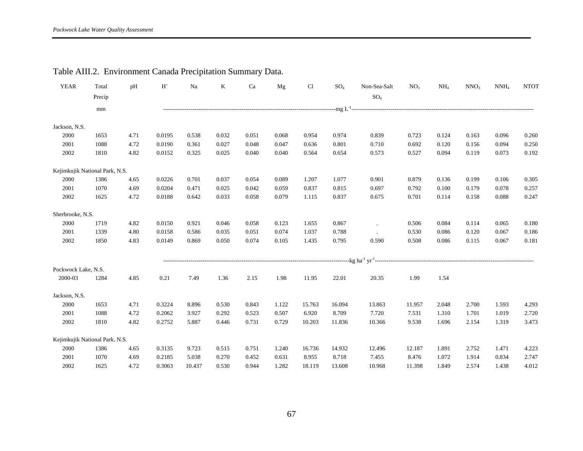| <b>YEAR</b>         | Total                          | pH   | $H^+$  | Na     | K     | Ca    | Mg    | Cl     | SO <sub>4</sub> | Non-Sea-Salt | NO <sub>3</sub> | NH <sub>4</sub> | NNO <sub>3</sub> | $NNH_4$ | <b>NTOT</b> |
|---------------------|--------------------------------|------|--------|--------|-------|-------|-------|--------|-----------------|--------------|-----------------|-----------------|------------------|---------|-------------|
|                     | Precip                         |      |        |        |       |       |       |        |                 | $SO_4$       |                 |                 |                  |         |             |
|                     | mm                             |      |        |        |       |       |       |        |                 |              |                 |                 |                  |         |             |
| Jackson, N.S.       |                                |      |        |        |       |       |       |        |                 |              |                 |                 |                  |         |             |
| 2000                | 1653                           | 4.71 | 0.0195 | 0.538  | 0.032 | 0.051 | 0.068 | 0.954  | 0.974           | 0.839        | 0.723           | 0.124           | 0.163            | 0.096   | 0.260       |
| 2001                | 1088                           | 4.72 | 0.0190 | 0.361  | 0.027 | 0.048 | 0.047 | 0.636  | 0.801           | 0.710        | 0.692           | 0.120           | 0.156            | 0.094   | 0.250       |
| 2002                | 1810                           | 4.82 | 0.0152 | 0.325  | 0.025 | 0.040 | 0.040 | 0.564  | 0.654           | 0.573        | 0.527           | 0.094           | 0.119            | 0.073   | 0.192       |
|                     | Kejimkujik National Park, N.S. |      |        |        |       |       |       |        |                 |              |                 |                 |                  |         |             |
| 2000                | 1386                           | 4.65 | 0.0226 | 0.701  | 0.037 | 0.054 | 0.089 | 1.207  | 1.077           | 0.901        | 0.879           | 0.136           | 0.199            | 0.106   | 0.305       |
| 2001                | 1070                           | 4.69 | 0.0204 | 0.471  | 0.025 | 0.042 | 0.059 | 0.837  | 0.815           | 0.697        | 0.792           | 0.100           | 0.179            | 0.078   | 0.257       |
| 2002                | 1625                           | 4.72 | 0.0188 | 0.642  | 0.033 | 0.058 | 0.079 | 1.115  | 0.837           | 0.675        | 0.701           | 0.114           | 0.158            | 0.088   | 0.247       |
| Sherbrooke, N.S.    |                                |      |        |        |       |       |       |        |                 |              |                 |                 |                  |         |             |
| 2000                | 1719                           | 4.82 | 0.0150 | 0.921  | 0.046 | 0.058 | 0.123 | 1.655  | 0.867           |              | 0.506           | 0.084           | 0.114            | 0.065   | 0.180       |
| 2001                | 1339                           | 4.80 | 0.0158 | 0.586  | 0.035 | 0.051 | 0.074 | 1.037  | 0.788           |              | 0.530           | 0.086           | 0.120            | 0.067   | $0.186\,$   |
| 2002                | 1850                           | 4.83 | 0.0149 | 0.869  | 0.050 | 0.074 | 0.105 | 1.435  | 0.795           | 0.590        | 0.508           | 0.086           | 0.115            | 0.067   | 0.181       |
|                     |                                |      |        |        |       |       |       |        |                 |              |                 |                 |                  |         |             |
| Pockwock Lake, N.S. |                                |      |        |        |       |       |       |        |                 |              |                 |                 |                  |         |             |
| 2000-03             | 1284                           | 4.85 | 0.21   | 7.49   | 1.36  | 2.15  | 1.98  | 11.95  | 22.01           | 20.35        | 1.99            | 1.54            |                  |         |             |
| Jackson, N.S.       |                                |      |        |        |       |       |       |        |                 |              |                 |                 |                  |         |             |
| 2000                | 1653                           | 4.71 | 0.3224 | 8.896  | 0.530 | 0.843 | 1.122 | 15.763 | 16.094          | 13.863       | 11.957          | 2.048           | 2.700            | 1.593   | 4.293       |
| 2001                | 1088                           | 4.72 | 0.2062 | 3.927  | 0.292 | 0.523 | 0.507 | 6.920  | 8.709           | 7.720        | 7.531           | 1.310           | 1.701            | 1.019   | 2.720       |
| 2002                | 1810                           | 4.82 | 0.2752 | 5.887  | 0.446 | 0.731 | 0.729 | 10.203 | 11.836          | 10.366       | 9.538           | 1.696           | 2.154            | 1.319   | 3.473       |
|                     | Kejimkujik National Park, N.S. |      |        |        |       |       |       |        |                 |              |                 |                 |                  |         |             |
| 2000                | 1386                           | 4.65 | 0.3135 | 9.723  | 0.515 | 0.751 | 1.240 | 16.736 | 14.932          | 12.496       | 12.187          | 1.891           | 2.752            | 1.471   | 4.223       |
| 2001                | 1070                           | 4.69 | 0.2185 | 5.038  | 0.270 | 0.452 | 0.631 | 8.955  | 8.718           | 7.455        | 8.476           | 1.072           | 1.914            | 0.834   | 2.747       |
| 2002                | 1625                           | 4.72 | 0.3063 | 10.437 | 0.530 | 0.944 | 1.282 | 18.119 | 13.608          | 10.968       | 11.398          | 1.849           | 2.574            | 1.438   | 4.012       |

## Table AIII.2. Environment Canada Precipitation Summary Data.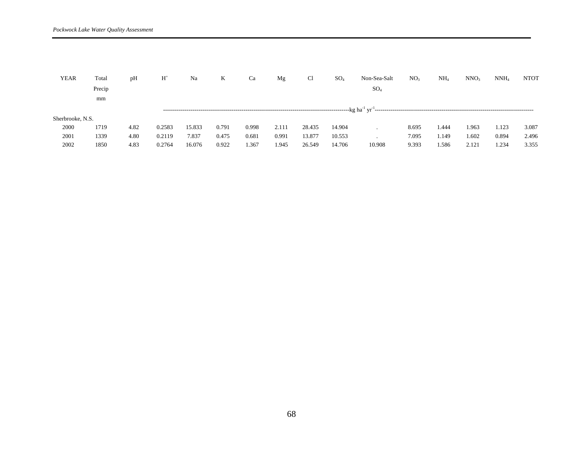| <b>YEAR</b>      | Total  | pH   | $\rm H^*$ | Na     | K     | Ca    | Mg    | Cl     | SO <sub>4</sub> | Non-Sea-Salt | NO <sub>3</sub> | NH <sub>4</sub> | NNO <sub>3</sub> | $NNH_4$ | <b>NTOT</b> |
|------------------|--------|------|-----------|--------|-------|-------|-------|--------|-----------------|--------------|-----------------|-----------------|------------------|---------|-------------|
|                  | Precip |      |           |        |       |       |       |        |                 | $SO_4$       |                 |                 |                  |         |             |
|                  | mm     |      |           |        |       |       |       |        |                 |              |                 |                 |                  |         |             |
|                  |        |      |           |        |       |       |       |        |                 |              |                 |                 |                  |         |             |
| Sherbrooke, N.S. |        |      |           |        |       |       |       |        |                 |              |                 |                 |                  |         |             |
| 2000             | 1719   | 4.82 | 0.2583    | 15.833 | 0.791 | 0.998 | 2.111 | 28.435 | 14.904          |              | 8.695           | 1.444           | 1.963            | 1.123   | 3.087       |
| 2001             | 1339   | 4.80 | 0.2119    | 7.837  | 0.475 | 0.681 | 0.991 | 13.877 | 10.553          |              | 7.095           | l.149           | 1.602            | 0.894   | 2.496       |
| 2002             | 1850   | 4.83 | 0.2764    | 16.076 | 0.922 | 1.367 | 1.945 | 26.549 | 14.706          | 10.908       | 9.393           | 1.586           | 2.121            | . 234   | 3.355       |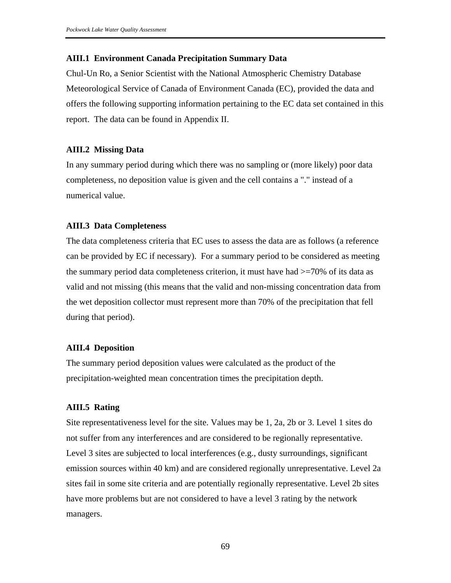#### **AIII.1 Environment Canada Precipitation Summary Data**

Chul-Un Ro, a Senior Scientist with the National Atmospheric Chemistry Database Meteorological Service of Canada of Environment Canada (EC), provided the data and offers the following supporting information pertaining to the EC data set contained in this report. The data can be found in Appendix II.

#### **AIII.2 Missing Data**

In any summary period during which there was no sampling or (more likely) poor data completeness, no deposition value is given and the cell contains a "." instead of a numerical value.

#### **AIII.3 Data Completeness**

The data completeness criteria that EC uses to assess the data are as follows (a reference can be provided by EC if necessary). For a summary period to be considered as meeting the summary period data completeness criterion, it must have had  $\geq$ =70% of its data as valid and not missing (this means that the valid and non-missing concentration data from the wet deposition collector must represent more than 70% of the precipitation that fell during that period).

#### **AIII.4 Deposition**

The summary period deposition values were calculated as the product of the precipitation-weighted mean concentration times the precipitation depth.

#### **AIII.5 Rating**

Site representativeness level for the site. Values may be 1, 2a, 2b or 3. Level 1 sites do not suffer from any interferences and are considered to be regionally representative. Level 3 sites are subjected to local interferences (e.g., dusty surroundings, significant emission sources within 40 km) and are considered regionally unrepresentative. Level 2a sites fail in some site criteria and are potentially regionally representative. Level 2b sites have more problems but are not considered to have a level 3 rating by the network managers.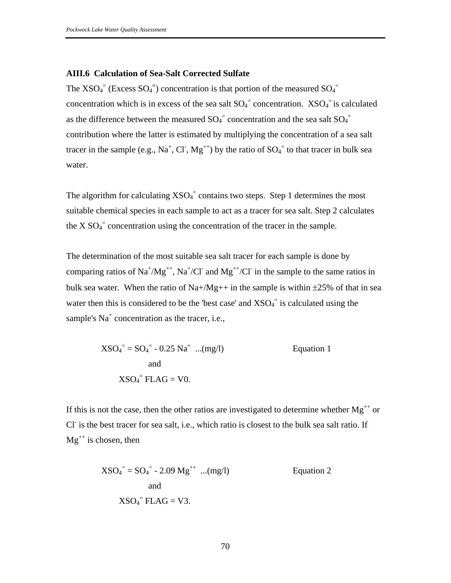#### **AIII.6 Calculation of Sea-Salt Corrected Sulfate**

The  $XSO_4$ <sup>=</sup> (Excess  $SO_4$ <sup>=</sup>) concentration is that portion of the measured  $SO_4$ <sup>=</sup> concentration which is in excess of the sea salt  $SO_4$ <sup>=</sup> concentration.  $XSO_4$ <sup>=</sup> is calculated as the difference between the measured  $SO_4^-$  concentration and the sea salt  $SO_4^$ contribution where the latter is estimated by multiplying the concentration of a sea salt tracer in the sample (e.g., Na<sup>+</sup>, Cl<sup>-</sup>, Mg<sup>++</sup>) by the ratio of  $SO_4$ <sup>=</sup> to that tracer in bulk sea water.

The algorithm for calculating  $XSO_4$ <sup>=</sup> contains two steps. Step 1 determines the most suitable chemical species in each sample to act as a tracer for sea salt. Step 2 calculates the  $X SO_4^-$  concentration using the concentration of the tracer in the sample.

The determination of the most suitable sea salt tracer for each sample is done by comparing ratios of  $\text{Na}^+/\text{Mg}^{++}$ ,  $\text{Na}^+/\text{Cl}^-$  and  $\text{Mg}^{++}/\text{Cl}^-$  in the sample to the same ratios in bulk sea water. When the ratio of Na+/Mg++ in the sample is within  $\pm 25\%$  of that in sea water then this is considered to be the 'best case' and  $XSO_4$ <sup>=</sup> is calculated using the sample's  $Na<sup>+</sup>$  concentration as the tracer, i.e.,

$$
XSO_4^{\dagger} = SO_4^{\dagger} - 0.25 \text{ Na}^+ \dots (\text{mg/l})
$$
 Equation 1  
and  

$$
XSO_4^{\dagger} \text{FLAG} = \text{V0}.
$$

If this is not the case, then the other ratios are investigated to determine whether  $Mg^{++}$  or Cl<sup>-</sup> is the best tracer for sea salt, i.e., which ratio is closest to the bulk sea salt ratio. If  $Mg^{++}$  is chosen, then

$$
XSO_4^{\dagger} = SO_4^{\dagger} - 2.09 \text{ Mg}^{++} \dots (\text{mg/l})
$$
 Equation 2  
and  

$$
XSO_4^{\dagger} \text{FLAG} = V3.
$$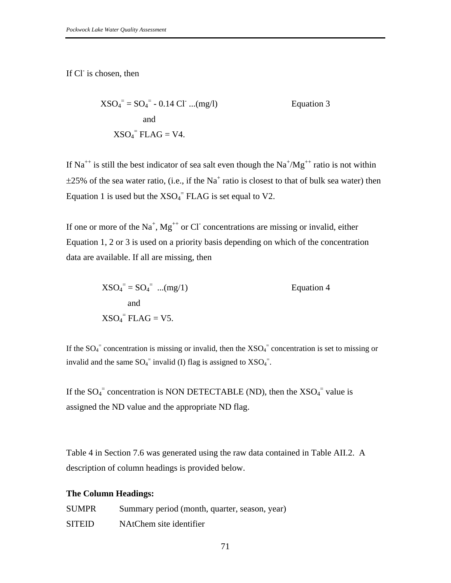If Cl is chosen, then

$$
XSO_4^{\dagger} = SO_4^{\dagger} - 0.14 \text{ CI} \dots (\text{mg/l})
$$
 Equation 3  
and  

$$
XSO_4^{\dagger} \text{FLAG} = \text{V4}.
$$

If Na<sup>++</sup> is still the best indicator of sea salt even though the Na<sup>+</sup>/Mg<sup>++</sup> ratio is not within  $\pm 25\%$  of the sea water ratio, (i.e., if the Na<sup>+</sup> ratio is closest to that of bulk sea water) then Equation 1 is used but the  $XSO_4$ <sup>=</sup> FLAG is set equal to V2.

If one or more of the Na<sup>+</sup>, Mg<sup>++</sup> or Cl<sup>-</sup> concentrations are missing or invalid, either Equation 1, 2 or 3 is used on a priority basis depending on which of the concentration data are available. If all are missing, then

$$
XSO_4^{\dagger} = SO_4^{\dagger} \dots (mg/1)
$$
 Equation 4  
and  

$$
XSO_4^{\dagger} \text{FLAG} = V5.
$$

If the  $SO_4^-$  concentration is missing or invalid, then the  $XSO_4^-$  concentration is set to missing or invalid and the same  $SO_4$ <sup>=</sup> invalid (I) flag is assigned to  $XSO_4$ <sup>=</sup>.

If the  $SO_4$ <sup>=</sup> concentration is NON DETECTABLE (ND), then the  $XSO_4$ <sup>=</sup> value is assigned the ND value and the appropriate ND flag.

Table 4 in Section 7.6 was generated using the raw data contained in Table AII.2. A description of column headings is provided below.

### **The Column Headings:**

| <b>SUMPR</b>  | Summary period (month, quarter, season, year) |
|---------------|-----------------------------------------------|
| <b>SITEID</b> | NAtChem site identifier                       |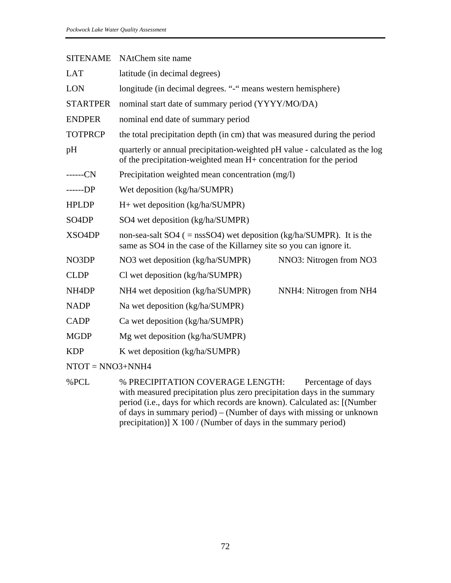| <b>SITENAME</b>      | NAtChem site name                                                                                                                                 |
|----------------------|---------------------------------------------------------------------------------------------------------------------------------------------------|
| <b>LAT</b>           | latitude (in decimal degrees)                                                                                                                     |
| <b>LON</b>           | longitude (in decimal degrees. "-" means western hemisphere)                                                                                      |
| <b>STARTPER</b>      | nominal start date of summary period (YYYY/MO/DA)                                                                                                 |
| <b>ENDPER</b>        | nominal end date of summary period                                                                                                                |
| <b>TOTPRCP</b>       | the total precipitation depth (in cm) that was measured during the period                                                                         |
| pH                   | quarterly or annual precipitation-weighted pH value - calculated as the log<br>of the precipitation-weighted mean H+ concentration for the period |
| $---CN$              | Precipitation weighted mean concentration (mg/l)                                                                                                  |
| $---DP$              | Wet deposition (kg/ha/SUMPR)                                                                                                                      |
| <b>HPLDP</b>         | $H+$ wet deposition (kg/ha/SUMPR)                                                                                                                 |
| SO <sub>4</sub> DP   | SO4 wet deposition (kg/ha/SUMPR)                                                                                                                  |
| XSO4DP               | non-sea-salt SO4 ( $=$ nssSO4) wet deposition (kg/ha/SUMPR). It is the<br>same as SO4 in the case of the Killarney site so you can ignore it.     |
| NO3DP                | NO3 wet deposition (kg/ha/SUMPR)<br>NNO3: Nitrogen from NO3                                                                                       |
| <b>CLDP</b>          | Cl wet deposition (kg/ha/SUMPR)                                                                                                                   |
| NH <sub>4</sub> DP   | NH4 wet deposition (kg/ha/SUMPR)<br>NNH4: Nitrogen from NH4                                                                                       |
| <b>NADP</b>          | Na wet deposition (kg/ha/SUMPR)                                                                                                                   |
| <b>CADP</b>          | Ca wet deposition (kg/ha/SUMPR)                                                                                                                   |
| <b>MGDP</b>          | Mg wet deposition (kg/ha/SUMPR)                                                                                                                   |
| <b>KDP</b>           | K wet deposition (kg/ha/SUMPR)                                                                                                                    |
| $NTOT = NNO3 + NNH4$ |                                                                                                                                                   |
| %PCL                 | % PRECIPITATION COVERAGE LENGTH:<br>Percentage of days                                                                                            |

with measured precipitation plus zero precipitation days in the summary period (i.e., days for which records are known). Calculated as: [(Number of days in summary period) – (Number of days with missing or unknown precipitation)] X 100 / (Number of days in the summary period)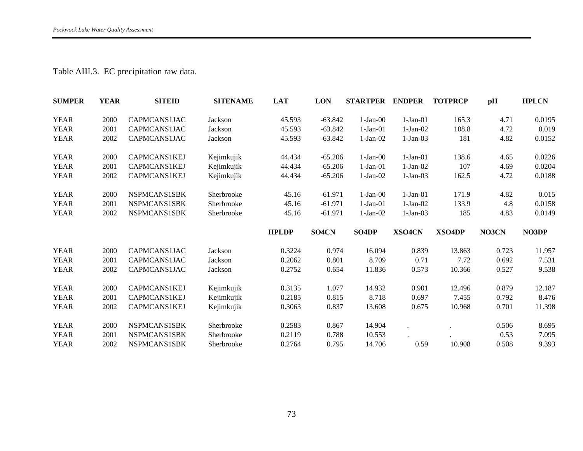## Table AIII.3. EC precipitation raw data.

| <b>SUMPER</b> | <b>YEAR</b> | <b>SITEID</b> | <b>SITENAME</b> | <b>LAT</b>   | <b>LON</b> | <b>STARTPER</b>    | <b>ENDPER</b> | <b>TOTPRCP</b> | pH    | <b>HPLCN</b> |
|---------------|-------------|---------------|-----------------|--------------|------------|--------------------|---------------|----------------|-------|--------------|
| <b>YEAR</b>   | 2000        | CAPMCANS1JAC  | Jackson         | 45.593       | $-63.842$  | $1-Jan-00$         | $1-Jan-01$    | 165.3          | 4.71  | 0.0195       |
| <b>YEAR</b>   | 2001        | CAPMCANS1JAC  | Jackson         | 45.593       | $-63.842$  | $1-Jan-01$         | $1-Jan-02$    | 108.8          | 4.72  | 0.019        |
| <b>YEAR</b>   | 2002        | CAPMCANS1JAC  | Jackson         | 45.593       | $-63.842$  | $1-Jan-02$         | $1-Jan-03$    | 181            | 4.82  | 0.0152       |
| <b>YEAR</b>   | 2000        | CAPMCANS1KEJ  | Kejimkujik      | 44.434       | $-65.206$  | $1-Jan-00$         | $1-Jan-01$    | 138.6          | 4.65  | 0.0226       |
| <b>YEAR</b>   | 2001        | CAPMCANS1KEJ  | Kejimkujik      | 44.434       | $-65.206$  | $1-Jan-01$         | $1-Jan-02$    | 107            | 4.69  | 0.0204       |
| <b>YEAR</b>   | 2002        | CAPMCANS1KEJ  | Kejimkujik      | 44.434       | $-65.206$  | $1-Jan-02$         | $1-Jan-03$    | 162.5          | 4.72  | 0.0188       |
| <b>YEAR</b>   | 2000        | NSPMCANS1SBK  | Sherbrooke      | 45.16        | $-61.971$  | $1-Jan-00$         | $1-Jan-01$    | 171.9          | 4.82  | 0.015        |
| <b>YEAR</b>   | 2001        | NSPMCANS1SBK  | Sherbrooke      | 45.16        | $-61.971$  | $1-Jan-01$         | $1-Jan-02$    | 133.9          | 4.8   | 0.0158       |
| <b>YEAR</b>   | 2002        | NSPMCANS1SBK  | Sherbrooke      | 45.16        | $-61.971$  | $1-Jan-02$         | $1-Jan-03$    | 185            | 4.83  | 0.0149       |
|               |             |               |                 |              |            |                    |               |                |       |              |
|               |             |               |                 | <b>HPLDP</b> | SO4CN      | SO <sub>4</sub> DP | XSO4CN        | <b>XSO4DP</b>  | NO3CN | NO3DP        |
| <b>YEAR</b>   | 2000        | CAPMCANS1JAC  | Jackson         | 0.3224       | 0.974      | 16.094             | 0.839         | 13.863         | 0.723 | 11.957       |
| <b>YEAR</b>   | 2001        | CAPMCANS1JAC  | Jackson         | 0.2062       | 0.801      | 8.709              | 0.71          | 7.72           | 0.692 | 7.531        |
| <b>YEAR</b>   | 2002        | CAPMCANS1JAC  | Jackson         | 0.2752       | 0.654      | 11.836             | 0.573         | 10.366         | 0.527 | 9.538        |
| <b>YEAR</b>   | 2000        | CAPMCANS1KEJ  | Kejimkujik      | 0.3135       | 1.077      | 14.932             | 0.901         | 12.496         | 0.879 | 12.187       |
| <b>YEAR</b>   | 2001        | CAPMCANS1KEJ  | Kejimkujik      | 0.2185       | 0.815      | 8.718              | 0.697         | 7.455          | 0.792 | 8.476        |
| <b>YEAR</b>   | 2002        | CAPMCANS1KEJ  | Kejimkujik      | 0.3063       | 0.837      | 13.608             | 0.675         | 10.968         | 0.701 | 11.398       |
| <b>YEAR</b>   | 2000        | NSPMCANS1SBK  | Sherbrooke      | 0.2583       | 0.867      | 14.904             |               |                | 0.506 | 8.695        |
| <b>YEAR</b>   | 2001        | NSPMCANS1SBK  | Sherbrooke      | 0.2119       | 0.788      | 10.553             |               |                | 0.53  | 7.095        |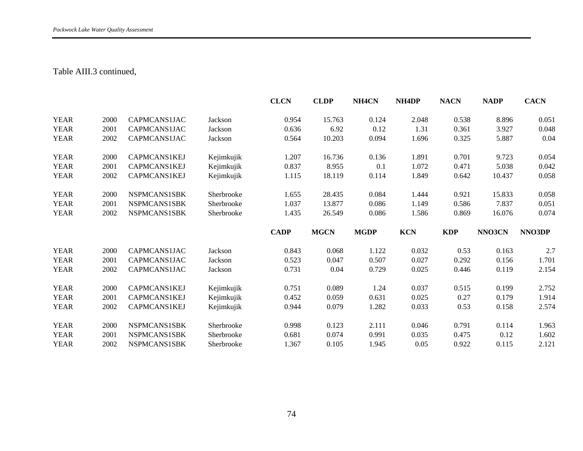### Table AIII.3 continued,

|             |      |              |            | <b>CLCN</b> | <b>CLDP</b> | NH <sub>4</sub> CN | NH <sub>4</sub> DP | <b>NACN</b> | <b>NADP</b> | <b>CACN</b> |
|-------------|------|--------------|------------|-------------|-------------|--------------------|--------------------|-------------|-------------|-------------|
| <b>YEAR</b> | 2000 | CAPMCANS1JAC | Jackson    | 0.954       | 15.763      | 0.124              | 2.048              | 0.538       | 8.896       | 0.051       |
| <b>YEAR</b> | 2001 | CAPMCANS1JAC | Jackson    | 0.636       | 6.92        | 0.12               | 1.31               | 0.361       | 3.927       | 0.048       |
| <b>YEAR</b> | 2002 | CAPMCANS1JAC | Jackson    | 0.564       | 10.203      | 0.094              | 1.696              | 0.325       | 5.887       | 0.04        |
| <b>YEAR</b> | 2000 | CAPMCANS1KEJ | Kejimkujik | 1.207       | 16.736      | 0.136              | 1.891              | 0.701       | 9.723       | 0.054       |
| <b>YEAR</b> | 2001 | CAPMCANS1KEJ | Kejimkujik | 0.837       | 8.955       | 0.1                | 1.072              | 0.471       | 5.038       | 0.042       |
| <b>YEAR</b> | 2002 | CAPMCANS1KEJ | Kejimkujik | 1.115       | 18.119      | 0.114              | 1.849              | 0.642       | 10.437      | 0.058       |
| <b>YEAR</b> | 2000 | NSPMCANS1SBK | Sherbrooke | 1.655       | 28.435      | 0.084              | 1.444              | 0.921       | 15.833      | 0.058       |
| <b>YEAR</b> | 2001 | NSPMCANS1SBK | Sherbrooke | 1.037       | 13.877      | 0.086              | 1.149              | 0.586       | 7.837       | 0.051       |
| <b>YEAR</b> | 2002 | NSPMCANS1SBK | Sherbrooke | 1.435       | 26.549      | 0.086              | 1.586              | 0.869       | 16.076      | 0.074       |
|             |      |              |            |             |             |                    |                    |             |             |             |
|             |      |              |            | <b>CADP</b> | <b>MGCN</b> | <b>MGDP</b>        | <b>KCN</b>         | <b>KDP</b>  | NNO3CN      | NNO3DP      |
| <b>YEAR</b> | 2000 | CAPMCANS1JAC | Jackson    | 0.843       | 0.068       | 1.122              | 0.032              | 0.53        | 0.163       | 2.7         |
| <b>YEAR</b> | 2001 | CAPMCANS1JAC | Jackson    | 0.523       | 0.047       | 0.507              | 0.027              | 0.292       | 0.156       | 1.701       |
| <b>YEAR</b> | 2002 | CAPMCANS1JAC | Jackson    | 0.731       | 0.04        | 0.729              | 0.025              | 0.446       | 0.119       | 2.154       |
| <b>YEAR</b> | 2000 | CAPMCANS1KEJ | Kejimkujik | 0.751       | 0.089       | 1.24               | 0.037              | 0.515       | 0.199       | 2.752       |
| <b>YEAR</b> | 2001 | CAPMCANS1KEJ | Kejimkujik | 0.452       | 0.059       | 0.631              | 0.025              | 0.27        | 0.179       | 1.914       |
| <b>YEAR</b> | 2002 | CAPMCANS1KEJ | Kejimkujik | 0.944       | 0.079       | 1.282              | 0.033              | 0.53        | 0.158       | 2.574       |
| <b>YEAR</b> | 2000 | NSPMCANS1SBK | Sherbrooke | 0.998       | 0.123       | 2.111              | 0.046              | 0.791       | 0.114       | 1.963       |
| <b>YEAR</b> | 2001 | NSPMCANS1SBK | Sherbrooke | 0.681       | 0.074       | 0.991              | 0.035              | 0.475       | 0.12        | 1.602       |